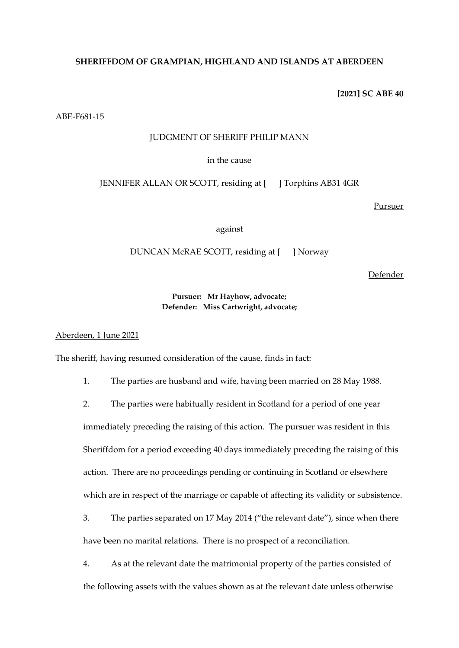## **SHERIFFDOM OF GRAMPIAN, HIGHLAND AND ISLANDS AT ABERDEEN**

**[2021] SC ABE 40**

ABE-F681-15

### JUDGMENT OF SHERIFF PHILIP MANN

in the cause

JENNIFER ALLAN OR SCOTT, residing at [ ] Torphins AB31 4GR

Pursuer

against

DUNCAN McRAE SCOTT, residing at [ ] Norway

Defender

## **Pursuer: Mr Hayhow, advocate; Defender: Miss Cartwright, advocate;**

## Aberdeen, 1 June 2021

The sheriff, having resumed consideration of the cause, finds in fact:

1. The parties are husband and wife, having been married on 28 May 1988.

2. The parties were habitually resident in Scotland for a period of one year immediately preceding the raising of this action. The pursuer was resident in this Sheriffdom for a period exceeding 40 days immediately preceding the raising of this action. There are no proceedings pending or continuing in Scotland or elsewhere which are in respect of the marriage or capable of affecting its validity or subsistence.

3. The parties separated on 17 May 2014 ("the relevant date"), since when there have been no marital relations. There is no prospect of a reconciliation.

4. As at the relevant date the matrimonial property of the parties consisted of the following assets with the values shown as at the relevant date unless otherwise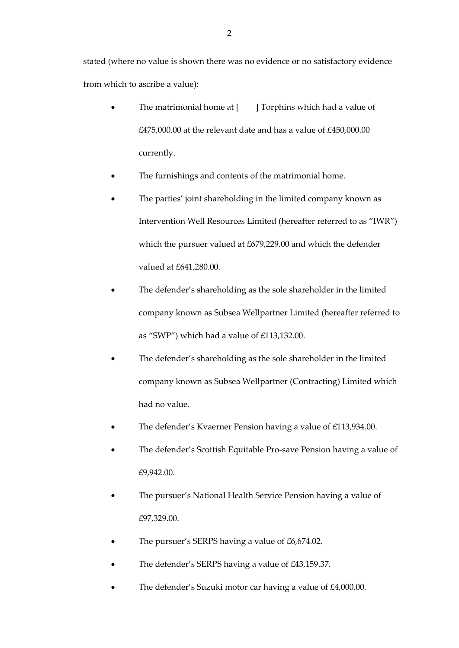stated (where no value is shown there was no evidence or no satisfactory evidence from which to ascribe a value):

- The matrimonial home at [ ] Torphins which had a value of £475,000.00 at the relevant date and has a value of £450,000.00 currently.
- The furnishings and contents of the matrimonial home.
- The parties' joint shareholding in the limited company known as Intervention Well Resources Limited (hereafter referred to as "IWR") which the pursuer valued at £679,229.00 and which the defender valued at £641,280.00.
- The defender's shareholding as the sole shareholder in the limited company known as Subsea Wellpartner Limited (hereafter referred to as "SWP") which had a value of £113,132.00.
- The defender's shareholding as the sole shareholder in the limited company known as Subsea Wellpartner (Contracting) Limited which had no value.
- The defender's Kvaerner Pension having a value of £113,934.00.
- The defender's Scottish Equitable Pro-save Pension having a value of £9,942.00.
- The pursuer's National Health Service Pension having a value of £97,329.00.
- The pursuer's SERPS having a value of £6,674.02.
- The defender's SERPS having a value of £43,159.37.
- The defender's Suzuki motor car having a value of £4,000.00.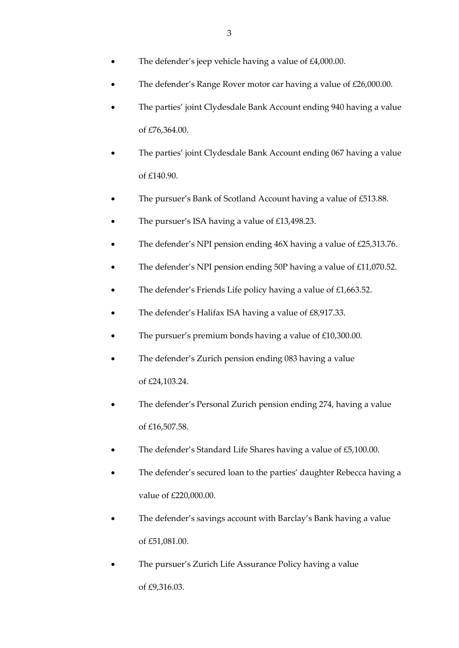- The defender's jeep vehicle having a value of £4,000.00.
- The defender's Range Rover motor car having a value of £26,000.00.
- The parties' joint Clydesdale Bank Account ending 940 having a value of £76,364.00.
- The parties' joint Clydesdale Bank Account ending 067 having a value of £140.90.
- The pursuer's Bank of Scotland Account having a value of £513.88.
- The pursuer's ISA having a value of £13,498.23.
- The defender's NPI pension ending 46X having a value of £25,313.76.
- The defender's NPI pension ending 50P having a value of £11,070.52.
- The defender's Friends Life policy having a value of £1,663.52.
- The defender's Halifax ISA having a value of £8,917.33.
- The pursuer's premium bonds having a value of £10,300.00.
- The defender's Zurich pension ending 083 having a value of £24,103.24.
- The defender's Personal Zurich pension ending 274, having a value of £16,507.58.
- The defender's Standard Life Shares having a value of £5,100.00.
- The defender's secured loan to the parties' daughter Rebecca having a value of £220,000.00.
- The defender's savings account with Barclay's Bank having a value of £51,081.00.
- The pursuer's Zurich Life Assurance Policy having a value of £9,316.03.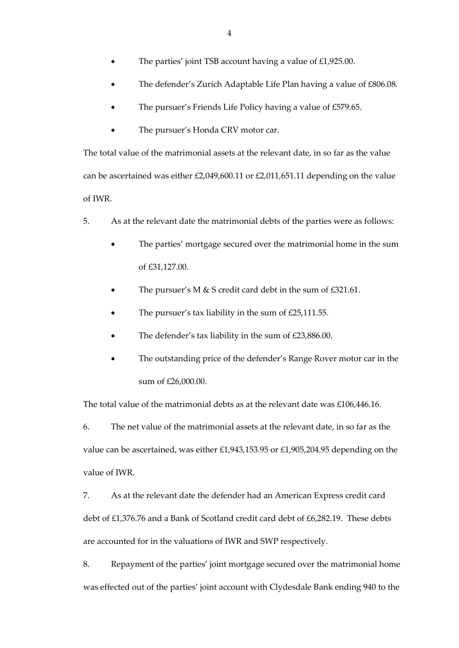- The parties' joint TSB account having a value of £1,925.00.
- The defender's Zurich Adaptable Life Plan having a value of £806.08.
- The pursuer's Friends Life Policy having a value of £579.65.
- The pursuer's Honda CRV motor car.

The total value of the matrimonial assets at the relevant date, in so far as the value can be ascertained was either £2,049,600.11 or £2,011,651.11 depending on the value of IWR.

- 5. As at the relevant date the matrimonial debts of the parties were as follows:
	- The parties' mortgage secured over the matrimonial home in the sum of £31,127.00.
	- The pursuer's M & S credit card debt in the sum of £321.61.
	- The pursuer's tax liability in the sum of  $£25,111.55$ .
	- The defender's tax liability in the sum of £23,886.00.
	- The outstanding price of the defender's Range Rover motor car in the sum of £26,000.00.

The total value of the matrimonial debts as at the relevant date was £106,446.16.

6. The net value of the matrimonial assets at the relevant date, in so far as the value can be ascertained, was either £1,943,153.95 or £1,905,204.95 depending on the value of IWR.

7. As at the relevant date the defender had an American Express credit card debt of £1,376.76 and a Bank of Scotland credit card debt of £6,282.19. These debts are accounted for in the valuations of IWR and SWP respectively.

8. Repayment of the parties' joint mortgage secured over the matrimonial home was effected out of the parties' joint account with Clydesdale Bank ending 940 to the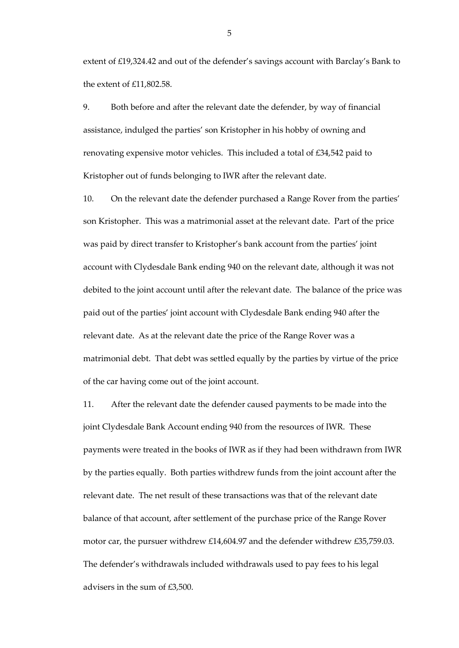extent of £19,324.42 and out of the defender's savings account with Barclay's Bank to the extent of £11,802.58.

9. Both before and after the relevant date the defender, by way of financial assistance, indulged the parties' son Kristopher in his hobby of owning and renovating expensive motor vehicles. This included a total of £34,542 paid to Kristopher out of funds belonging to IWR after the relevant date.

10. On the relevant date the defender purchased a Range Rover from the parties' son Kristopher. This was a matrimonial asset at the relevant date. Part of the price was paid by direct transfer to Kristopher's bank account from the parties' joint account with Clydesdale Bank ending 940 on the relevant date, although it was not debited to the joint account until after the relevant date. The balance of the price was paid out of the parties' joint account with Clydesdale Bank ending 940 after the relevant date. As at the relevant date the price of the Range Rover was a matrimonial debt. That debt was settled equally by the parties by virtue of the price of the car having come out of the joint account.

11. After the relevant date the defender caused payments to be made into the joint Clydesdale Bank Account ending 940 from the resources of IWR. These payments were treated in the books of IWR as if they had been withdrawn from IWR by the parties equally. Both parties withdrew funds from the joint account after the relevant date. The net result of these transactions was that of the relevant date balance of that account, after settlement of the purchase price of the Range Rover motor car, the pursuer withdrew £14,604.97 and the defender withdrew £35,759.03. The defender's withdrawals included withdrawals used to pay fees to his legal advisers in the sum of £3,500.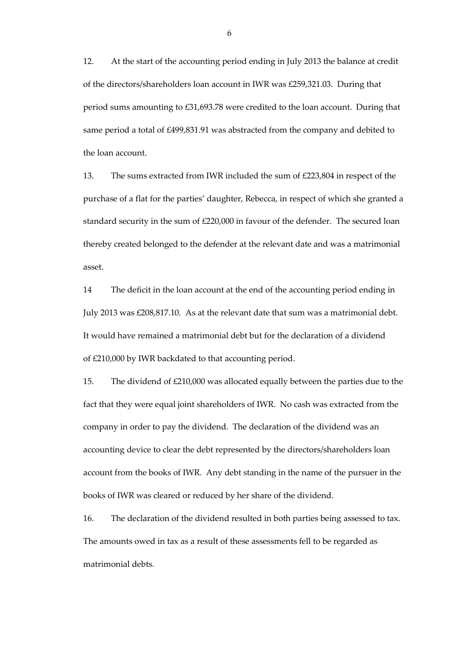12. At the start of the accounting period ending in July 2013 the balance at credit of the directors/shareholders loan account in IWR was £259,321.03. During that period sums amounting to £31,693.78 were credited to the loan account. During that same period a total of £499,831.91 was abstracted from the company and debited to the loan account.

13. The sums extracted from IWR included the sum of £223,804 in respect of the purchase of a flat for the parties' daughter, Rebecca, in respect of which she granted a standard security in the sum of £220,000 in favour of the defender. The secured loan thereby created belonged to the defender at the relevant date and was a matrimonial asset.

14 The deficit in the loan account at the end of the accounting period ending in July 2013 was £208,817.10. As at the relevant date that sum was a matrimonial debt. It would have remained a matrimonial debt but for the declaration of a dividend of £210,000 by IWR backdated to that accounting period.

15. The dividend of £210,000 was allocated equally between the parties due to the fact that they were equal joint shareholders of IWR. No cash was extracted from the company in order to pay the dividend. The declaration of the dividend was an accounting device to clear the debt represented by the directors/shareholders loan account from the books of IWR. Any debt standing in the name of the pursuer in the books of IWR was cleared or reduced by her share of the dividend.

16. The declaration of the dividend resulted in both parties being assessed to tax. The amounts owed in tax as a result of these assessments fell to be regarded as matrimonial debts.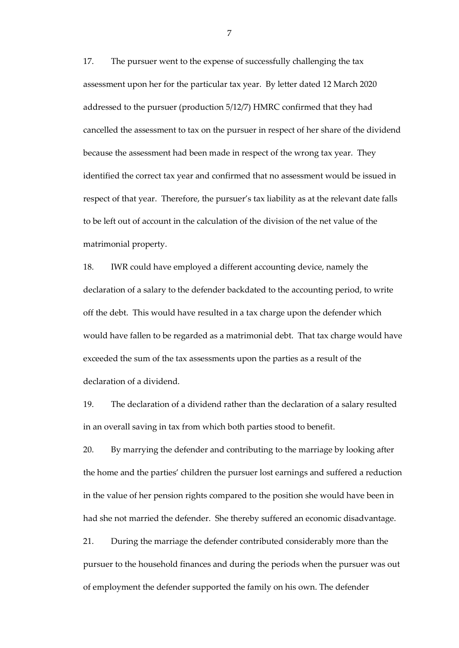17. The pursuer went to the expense of successfully challenging the tax assessment upon her for the particular tax year. By letter dated 12 March 2020 addressed to the pursuer (production 5/12/7) HMRC confirmed that they had cancelled the assessment to tax on the pursuer in respect of her share of the dividend because the assessment had been made in respect of the wrong tax year. They identified the correct tax year and confirmed that no assessment would be issued in respect of that year. Therefore, the pursuer's tax liability as at the relevant date falls to be left out of account in the calculation of the division of the net value of the matrimonial property.

18. IWR could have employed a different accounting device, namely the declaration of a salary to the defender backdated to the accounting period, to write off the debt. This would have resulted in a tax charge upon the defender which would have fallen to be regarded as a matrimonial debt. That tax charge would have exceeded the sum of the tax assessments upon the parties as a result of the declaration of a dividend.

19. The declaration of a dividend rather than the declaration of a salary resulted in an overall saving in tax from which both parties stood to benefit.

20. By marrying the defender and contributing to the marriage by looking after the home and the parties' children the pursuer lost earnings and suffered a reduction in the value of her pension rights compared to the position she would have been in had she not married the defender. She thereby suffered an economic disadvantage.

21. During the marriage the defender contributed considerably more than the pursuer to the household finances and during the periods when the pursuer was out of employment the defender supported the family on his own. The defender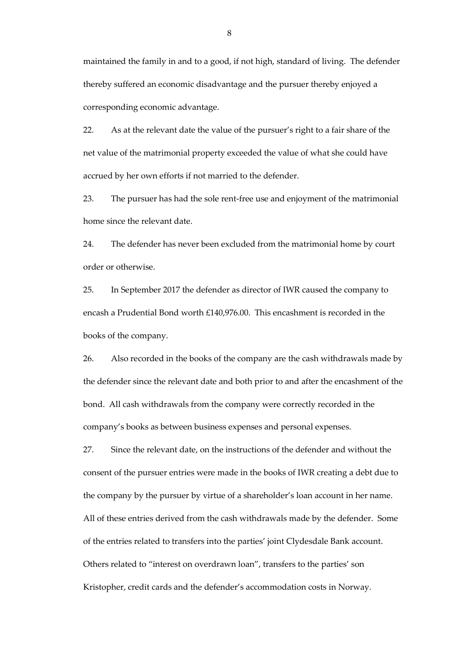maintained the family in and to a good, if not high, standard of living. The defender thereby suffered an economic disadvantage and the pursuer thereby enjoyed a corresponding economic advantage.

22. As at the relevant date the value of the pursuer's right to a fair share of the net value of the matrimonial property exceeded the value of what she could have accrued by her own efforts if not married to the defender.

23. The pursuer has had the sole rent-free use and enjoyment of the matrimonial home since the relevant date.

24. The defender has never been excluded from the matrimonial home by court order or otherwise.

25. In September 2017 the defender as director of IWR caused the company to encash a Prudential Bond worth £140,976.00. This encashment is recorded in the books of the company.

26. Also recorded in the books of the company are the cash withdrawals made by the defender since the relevant date and both prior to and after the encashment of the bond. All cash withdrawals from the company were correctly recorded in the company's books as between business expenses and personal expenses.

27. Since the relevant date, on the instructions of the defender and without the consent of the pursuer entries were made in the books of IWR creating a debt due to the company by the pursuer by virtue of a shareholder's loan account in her name. All of these entries derived from the cash withdrawals made by the defender. Some of the entries related to transfers into the parties' joint Clydesdale Bank account. Others related to "interest on overdrawn loan", transfers to the parties' son Kristopher, credit cards and the defender's accommodation costs in Norway.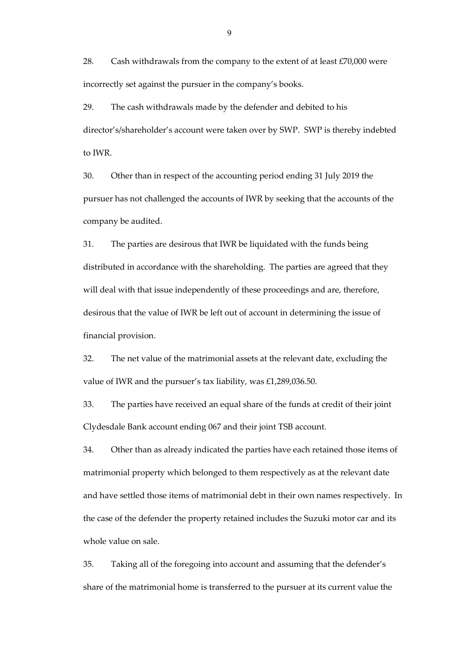28. Cash withdrawals from the company to the extent of at least  $£70,000$  were incorrectly set against the pursuer in the company's books.

29. The cash withdrawals made by the defender and debited to his director's/shareholder's account were taken over by SWP. SWP is thereby indebted to IWR.

30. Other than in respect of the accounting period ending 31 July 2019 the pursuer has not challenged the accounts of IWR by seeking that the accounts of the company be audited.

31. The parties are desirous that IWR be liquidated with the funds being distributed in accordance with the shareholding. The parties are agreed that they will deal with that issue independently of these proceedings and are, therefore, desirous that the value of IWR be left out of account in determining the issue of financial provision.

32. The net value of the matrimonial assets at the relevant date, excluding the value of IWR and the pursuer's tax liability, was £1,289,036.50.

33. The parties have received an equal share of the funds at credit of their joint Clydesdale Bank account ending 067 and their joint TSB account.

34. Other than as already indicated the parties have each retained those items of matrimonial property which belonged to them respectively as at the relevant date and have settled those items of matrimonial debt in their own names respectively. In the case of the defender the property retained includes the Suzuki motor car and its whole value on sale.

35. Taking all of the foregoing into account and assuming that the defender's share of the matrimonial home is transferred to the pursuer at its current value the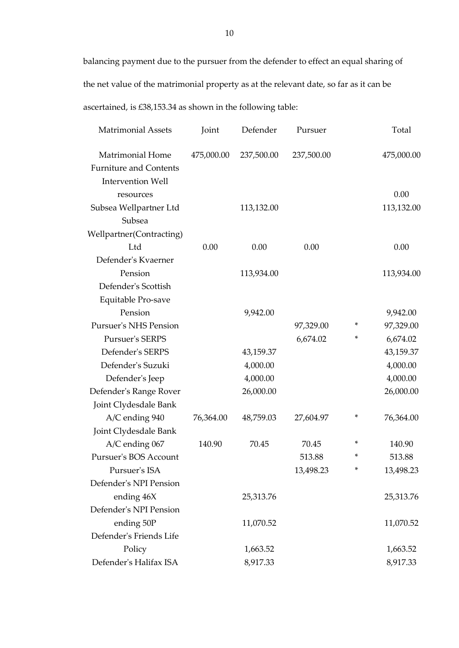balancing payment due to the pursuer from the defender to effect an equal sharing of the net value of the matrimonial property as at the relevant date, so far as it can be ascertained, is £38,153.34 as shown in the following table:

| <b>Matrimonial Assets</b>     | Joint      | Defender   | Pursuer    |   | Total      |
|-------------------------------|------------|------------|------------|---|------------|
| Matrimonial Home              | 475,000.00 | 237,500.00 | 237,500.00 |   | 475,000.00 |
| <b>Furniture and Contents</b> |            |            |            |   |            |
| <b>Intervention Well</b>      |            |            |            |   |            |
| resources                     |            |            |            |   | 0.00       |
| Subsea Wellpartner Ltd        |            | 113,132.00 |            |   | 113,132.00 |
| Subsea                        |            |            |            |   |            |
| Wellpartner(Contracting)      |            |            |            |   |            |
| Ltd                           | 0.00       | 0.00       | 0.00       |   | 0.00       |
| Defender's Kvaerner           |            |            |            |   |            |
| Pension                       |            | 113,934.00 |            |   | 113,934.00 |
| Defender's Scottish           |            |            |            |   |            |
| Equitable Pro-save            |            |            |            |   |            |
| Pension                       |            | 9,942.00   |            |   | 9,942.00   |
| <b>Pursuer's NHS Pension</b>  |            |            | 97,329.00  | * | 97,329.00  |
| <b>Pursuer's SERPS</b>        |            |            | 6,674.02   | * | 6,674.02   |
| Defender's SERPS              |            | 43,159.37  |            |   | 43,159.37  |
| Defender's Suzuki             |            | 4,000.00   |            |   | 4,000.00   |
| Defender's Jeep               |            | 4,000.00   |            |   | 4,000.00   |
| Defender's Range Rover        |            | 26,000.00  |            |   | 26,000.00  |
| Joint Clydesdale Bank         |            |            |            |   |            |
| A/C ending 940                | 76,364.00  | 48,759.03  | 27,604.97  | * | 76,364.00  |
| Joint Clydesdale Bank         |            |            |            |   |            |
| A/C ending 067                | 140.90     | 70.45      | 70.45      | * | 140.90     |
| Pursuer's BOS Account         |            |            | 513.88     | * | 513.88     |
| Pursuer's ISA                 |            |            | 13,498.23  | * | 13,498.23  |
| Defender's NPI Pension        |            |            |            |   |            |
| ending 46X                    |            | 25,313.76  |            |   | 25,313.76  |
| Defender's NPI Pension        |            |            |            |   |            |
| ending 50P                    |            | 11,070.52  |            |   | 11,070.52  |
| Defender's Friends Life       |            |            |            |   |            |
| Policy                        |            | 1,663.52   |            |   | 1,663.52   |
| Defender's Halifax ISA        |            | 8,917.33   |            |   | 8,917.33   |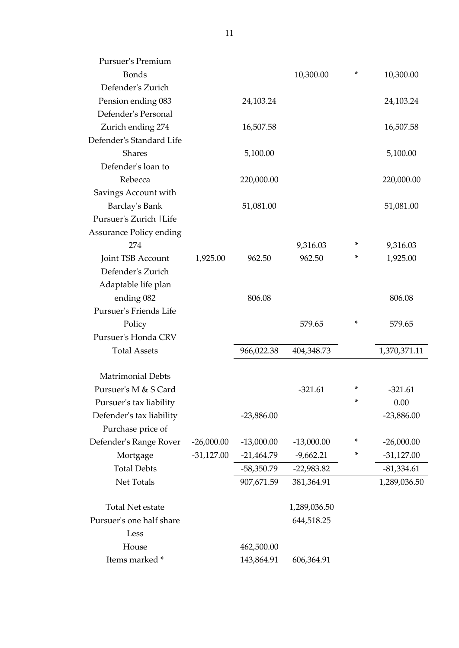| <b>Pursuer's Premium</b>       |              |              |              |   |              |
|--------------------------------|--------------|--------------|--------------|---|--------------|
| <b>Bonds</b>                   |              |              | 10,300.00    | * | 10,300.00    |
| Defender's Zurich              |              |              |              |   |              |
| Pension ending 083             |              | 24,103.24    |              |   | 24,103.24    |
| Defender's Personal            |              |              |              |   |              |
| Zurich ending 274              |              | 16,507.58    |              |   | 16,507.58    |
| Defender's Standard Life       |              |              |              |   |              |
| <b>Shares</b>                  |              | 5,100.00     |              |   | 5,100.00     |
| Defender's loan to             |              |              |              |   |              |
| Rebecca                        |              | 220,000.00   |              |   | 220,000.00   |
| Savings Account with           |              |              |              |   |              |
| Barclay's Bank                 |              | 51,081.00    |              |   | 51,081.00    |
| Pursuer's Zurich   Life        |              |              |              |   |              |
| <b>Assurance Policy ending</b> |              |              |              |   |              |
| 274                            |              |              | 9,316.03     | * | 9,316.03     |
| Joint TSB Account              | 1,925.00     | 962.50       | 962.50       | * | 1,925.00     |
| Defender's Zurich              |              |              |              |   |              |
| Adaptable life plan            |              |              |              |   |              |
| ending 082                     |              | 806.08       |              |   | 806.08       |
| <b>Pursuer's Friends Life</b>  |              |              |              |   |              |
| Policy                         |              |              | 579.65       | * | 579.65       |
| Pursuer's Honda CRV            |              |              |              |   |              |
| <b>Total Assets</b>            |              | 966,022.38   | 404,348.73   |   | 1,370,371.11 |
|                                |              |              |              |   |              |
| <b>Matrimonial Debts</b>       |              |              |              |   |              |
| Pursuer's M & S Card           |              |              | $-321.61$    | * | $-321.61$    |
| Pursuer's tax liability        |              |              |              |   | 0.00         |
| Defender's tax liability       |              | $-23,886.00$ |              |   | $-23,886.00$ |
| Purchase price of              |              |              |              | * |              |
| Defender's Range Rover         | $-26,000.00$ | $-13,000.00$ | $-13,000.00$ | * | $-26,000.00$ |
| Mortgage                       | $-31,127.00$ | $-21,464.79$ | $-9,662.21$  |   | $-31,127.00$ |
| <b>Total Debts</b>             |              | $-58,350.79$ | $-22,983.82$ |   | $-81,334.61$ |
| Net Totals                     |              | 907,671.59   | 381,364.91   |   | 1,289,036.50 |
| <b>Total Net estate</b>        |              |              | 1,289,036.50 |   |              |
| Pursuer's one half share       |              |              | 644,518.25   |   |              |
| Less                           |              |              |              |   |              |
| House                          |              | 462,500.00   |              |   |              |
| Items marked *                 |              | 143,864.91   | 606,364.91   |   |              |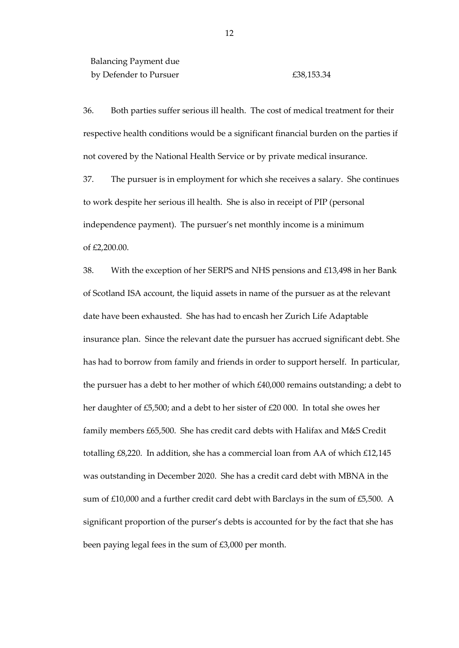36. Both parties suffer serious ill health. The cost of medical treatment for their respective health conditions would be a significant financial burden on the parties if not covered by the National Health Service or by private medical insurance.

37. The pursuer is in employment for which she receives a salary. She continues to work despite her serious ill health. She is also in receipt of PIP (personal independence payment). The pursuer's net monthly income is a minimum of £2,200.00.

38. With the exception of her SERPS and NHS pensions and  $£13,498$  in her Bank of Scotland ISA account, the liquid assets in name of the pursuer as at the relevant date have been exhausted. She has had to encash her Zurich Life Adaptable insurance plan. Since the relevant date the pursuer has accrued significant debt. She has had to borrow from family and friends in order to support herself. In particular, the pursuer has a debt to her mother of which £40,000 remains outstanding; a debt to her daughter of £5,500; and a debt to her sister of £20 000. In total she owes her family members £65,500. She has credit card debts with Halifax and M&S Credit totalling £8,220. In addition, she has a commercial loan from AA of which £12,145 was outstanding in December 2020. She has a credit card debt with MBNA in the sum of £10,000 and a further credit card debt with Barclays in the sum of £5,500. A significant proportion of the purser's debts is accounted for by the fact that she has been paying legal fees in the sum of £3,000 per month.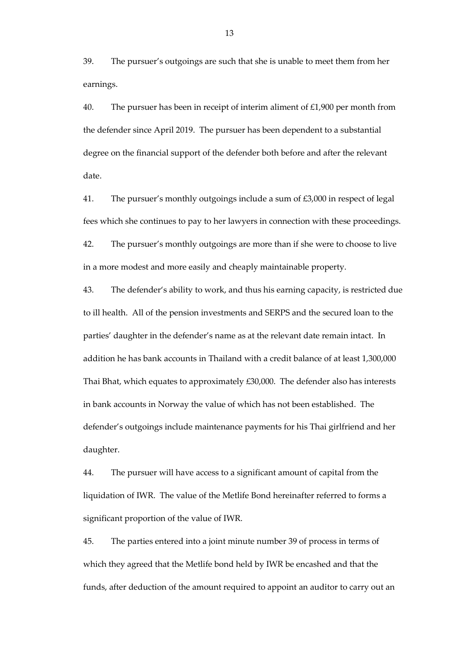39. The pursuer's outgoings are such that she is unable to meet them from her earnings.

40. The pursuer has been in receipt of interim aliment of £1,900 per month from the defender since April 2019. The pursuer has been dependent to a substantial degree on the financial support of the defender both before and after the relevant date.

41. The pursuer's monthly outgoings include a sum of £3,000 in respect of legal fees which she continues to pay to her lawyers in connection with these proceedings.

42. The pursuer's monthly outgoings are more than if she were to choose to live in a more modest and more easily and cheaply maintainable property.

43. The defender's ability to work, and thus his earning capacity, is restricted due to ill health. All of the pension investments and SERPS and the secured loan to the parties' daughter in the defender's name as at the relevant date remain intact. In addition he has bank accounts in Thailand with a credit balance of at least 1,300,000 Thai Bhat, which equates to approximately £30,000. The defender also has interests in bank accounts in Norway the value of which has not been established. The defender's outgoings include maintenance payments for his Thai girlfriend and her daughter.

44. The pursuer will have access to a significant amount of capital from the liquidation of IWR. The value of the Metlife Bond hereinafter referred to forms a significant proportion of the value of IWR.

45. The parties entered into a joint minute number 39 of process in terms of which they agreed that the Metlife bond held by IWR be encashed and that the funds, after deduction of the amount required to appoint an auditor to carry out an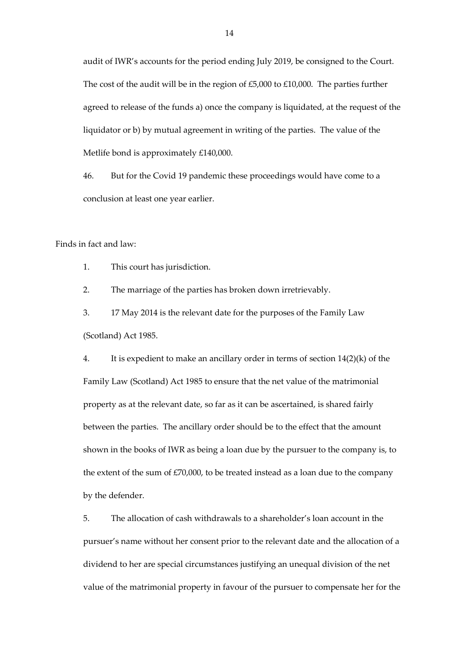audit of IWR's accounts for the period ending July 2019, be consigned to the Court. The cost of the audit will be in the region of £5,000 to £10,000. The parties further agreed to release of the funds a) once the company is liquidated, at the request of the liquidator or b) by mutual agreement in writing of the parties. The value of the Metlife bond is approximately £140,000.

46. But for the Covid 19 pandemic these proceedings would have come to a conclusion at least one year earlier.

Finds in fact and law:

1. This court has jurisdiction.

2. The marriage of the parties has broken down irretrievably.

3. 17 May 2014 is the relevant date for the purposes of the Family Law (Scotland) Act 1985.

4. It is expedient to make an ancillary order in terms of section 14(2)(k) of the Family Law (Scotland) Act 1985 to ensure that the net value of the matrimonial property as at the relevant date, so far as it can be ascertained, is shared fairly between the parties. The ancillary order should be to the effect that the amount shown in the books of IWR as being a loan due by the pursuer to the company is, to the extent of the sum of £70,000, to be treated instead as a loan due to the company by the defender.

5. The allocation of cash withdrawals to a shareholder's loan account in the pursuer's name without her consent prior to the relevant date and the allocation of a dividend to her are special circumstances justifying an unequal division of the net value of the matrimonial property in favour of the pursuer to compensate her for the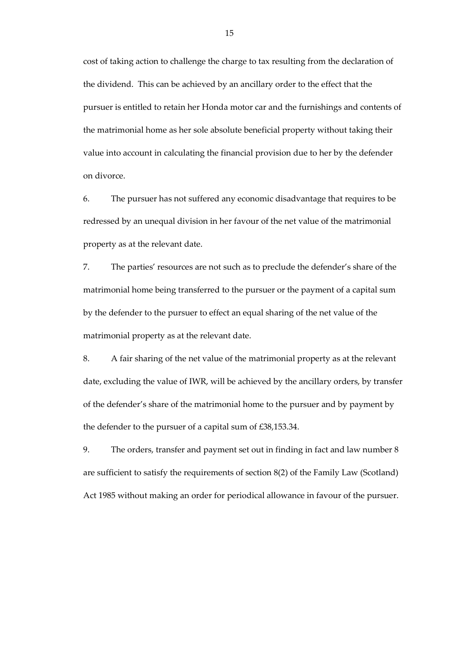cost of taking action to challenge the charge to tax resulting from the declaration of the dividend. This can be achieved by an ancillary order to the effect that the pursuer is entitled to retain her Honda motor car and the furnishings and contents of the matrimonial home as her sole absolute beneficial property without taking their value into account in calculating the financial provision due to her by the defender on divorce.

6. The pursuer has not suffered any economic disadvantage that requires to be redressed by an unequal division in her favour of the net value of the matrimonial property as at the relevant date.

7. The parties' resources are not such as to preclude the defender's share of the matrimonial home being transferred to the pursuer or the payment of a capital sum by the defender to the pursuer to effect an equal sharing of the net value of the matrimonial property as at the relevant date.

8. A fair sharing of the net value of the matrimonial property as at the relevant date, excluding the value of IWR, will be achieved by the ancillary orders, by transfer of the defender's share of the matrimonial home to the pursuer and by payment by the defender to the pursuer of a capital sum of £38,153.34.

9. The orders, transfer and payment set out in finding in fact and law number 8 are sufficient to satisfy the requirements of section 8(2) of the Family Law (Scotland) Act 1985 without making an order for periodical allowance in favour of the pursuer.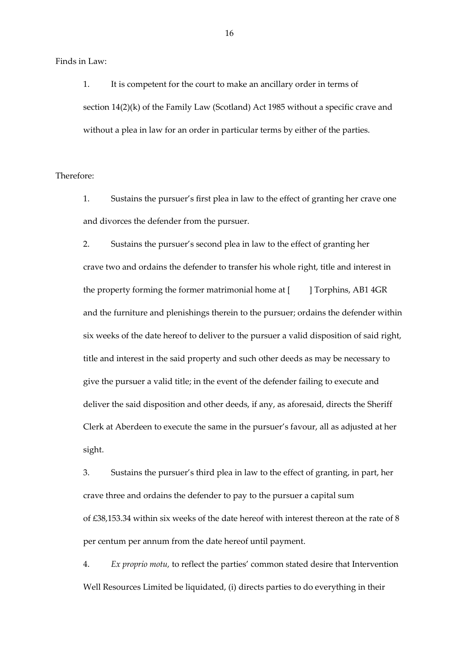Finds in Law:

1. It is competent for the court to make an ancillary order in terms of section 14(2)(k) of the Family Law (Scotland) Act 1985 without a specific crave and without a plea in law for an order in particular terms by either of the parties.

Therefore:

1. Sustains the pursuer's first plea in law to the effect of granting her crave one and divorces the defender from the pursuer.

2. Sustains the pursuer's second plea in law to the effect of granting her crave two and ordains the defender to transfer his whole right, title and interest in the property forming the former matrimonial home at [ ] Torphins, AB1 4GR and the furniture and plenishings therein to the pursuer; ordains the defender within six weeks of the date hereof to deliver to the pursuer a valid disposition of said right, title and interest in the said property and such other deeds as may be necessary to give the pursuer a valid title; in the event of the defender failing to execute and deliver the said disposition and other deeds, if any, as aforesaid, directs the Sheriff Clerk at Aberdeen to execute the same in the pursuer's favour, all as adjusted at her sight.

3. Sustains the pursuer's third plea in law to the effect of granting, in part, her crave three and ordains the defender to pay to the pursuer a capital sum of £38,153.34 within six weeks of the date hereof with interest thereon at the rate of 8 per centum per annum from the date hereof until payment.

4. *Ex proprio motu,* to reflect the parties' common stated desire that Intervention Well Resources Limited be liquidated, (i) directs parties to do everything in their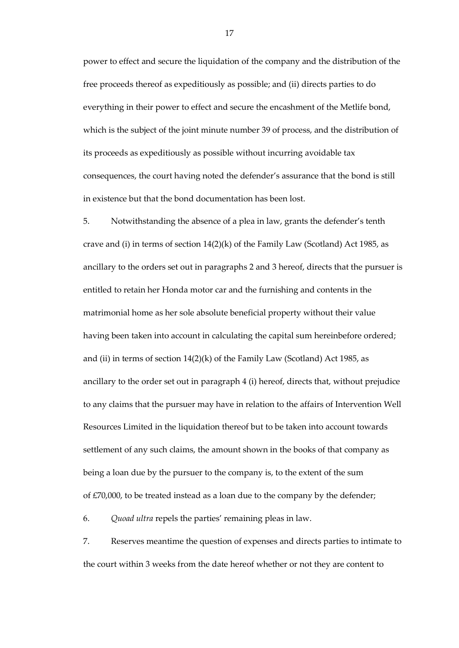power to effect and secure the liquidation of the company and the distribution of the free proceeds thereof as expeditiously as possible; and (ii) directs parties to do everything in their power to effect and secure the encashment of the Metlife bond, which is the subject of the joint minute number 39 of process, and the distribution of its proceeds as expeditiously as possible without incurring avoidable tax consequences, the court having noted the defender's assurance that the bond is still in existence but that the bond documentation has been lost.

5. Notwithstanding the absence of a plea in law, grants the defender's tenth crave and (i) in terms of section 14(2)(k) of the Family Law (Scotland) Act 1985, as ancillary to the orders set out in paragraphs 2 and 3 hereof, directs that the pursuer is entitled to retain her Honda motor car and the furnishing and contents in the matrimonial home as her sole absolute beneficial property without their value having been taken into account in calculating the capital sum hereinbefore ordered; and (ii) in terms of section  $14(2)(k)$  of the Family Law (Scotland) Act 1985, as ancillary to the order set out in paragraph 4 (i) hereof, directs that, without prejudice to any claims that the pursuer may have in relation to the affairs of Intervention Well Resources Limited in the liquidation thereof but to be taken into account towards settlement of any such claims, the amount shown in the books of that company as being a loan due by the pursuer to the company is, to the extent of the sum of £70,000, to be treated instead as a loan due to the company by the defender;

6. *Quoad ultra* repels the parties' remaining pleas in law.

7. Reserves meantime the question of expenses and directs parties to intimate to the court within 3 weeks from the date hereof whether or not they are content to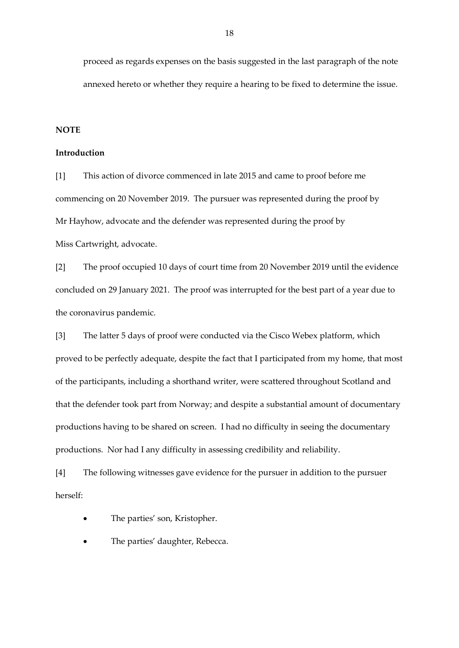proceed as regards expenses on the basis suggested in the last paragraph of the note annexed hereto or whether they require a hearing to be fixed to determine the issue.

#### **NOTE**

### **Introduction**

[1] This action of divorce commenced in late 2015 and came to proof before me commencing on 20 November 2019. The pursuer was represented during the proof by Mr Hayhow, advocate and the defender was represented during the proof by Miss Cartwright, advocate.

[2] The proof occupied 10 days of court time from 20 November 2019 until the evidence concluded on 29 January 2021. The proof was interrupted for the best part of a year due to the coronavirus pandemic.

[3] The latter 5 days of proof were conducted via the Cisco Webex platform, which proved to be perfectly adequate, despite the fact that I participated from my home, that most of the participants, including a shorthand writer, were scattered throughout Scotland and that the defender took part from Norway; and despite a substantial amount of documentary productions having to be shared on screen. I had no difficulty in seeing the documentary productions. Nor had I any difficulty in assessing credibility and reliability.

[4] The following witnesses gave evidence for the pursuer in addition to the pursuer herself:

- The parties' son, Kristopher.
- The parties' daughter, Rebecca.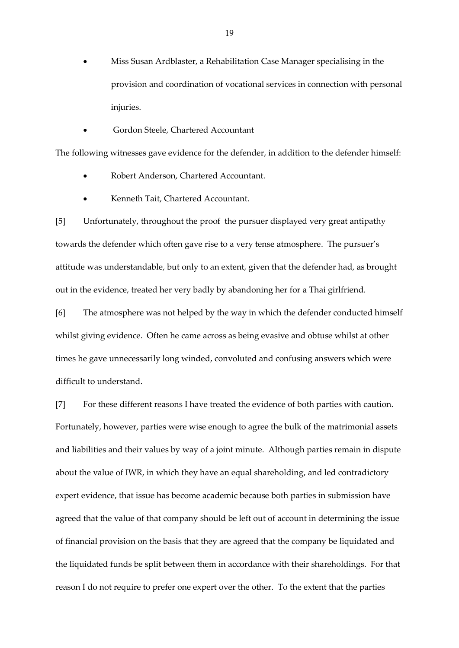- Miss Susan Ardblaster, a Rehabilitation Case Manager specialising in the provision and coordination of vocational services in connection with personal injuries.
- Gordon Steele, Chartered Accountant

The following witnesses gave evidence for the defender, in addition to the defender himself:

- Robert Anderson, Chartered Accountant.
- Kenneth Tait, Chartered Accountant.

[5] Unfortunately, throughout the proof the pursuer displayed very great antipathy towards the defender which often gave rise to a very tense atmosphere. The pursuer's attitude was understandable, but only to an extent, given that the defender had, as brought out in the evidence, treated her very badly by abandoning her for a Thai girlfriend.

[6] The atmosphere was not helped by the way in which the defender conducted himself whilst giving evidence. Often he came across as being evasive and obtuse whilst at other times he gave unnecessarily long winded, convoluted and confusing answers which were difficult to understand.

[7] For these different reasons I have treated the evidence of both parties with caution. Fortunately, however, parties were wise enough to agree the bulk of the matrimonial assets and liabilities and their values by way of a joint minute. Although parties remain in dispute about the value of IWR, in which they have an equal shareholding, and led contradictory expert evidence, that issue has become academic because both parties in submission have agreed that the value of that company should be left out of account in determining the issue of financial provision on the basis that they are agreed that the company be liquidated and the liquidated funds be split between them in accordance with their shareholdings. For that reason I do not require to prefer one expert over the other. To the extent that the parties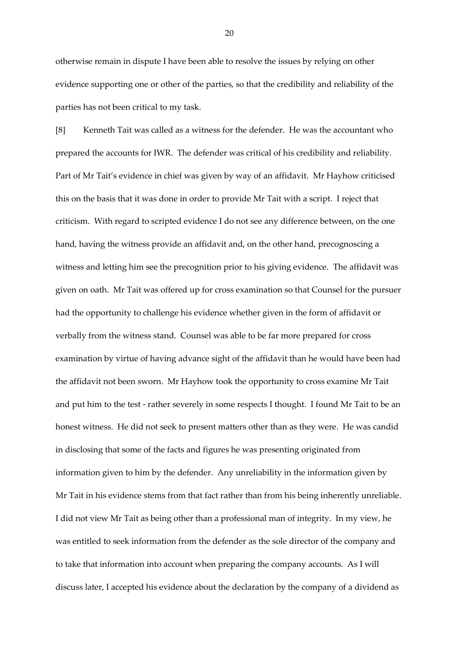otherwise remain in dispute I have been able to resolve the issues by relying on other evidence supporting one or other of the parties, so that the credibility and reliability of the parties has not been critical to my task.

[8] Kenneth Tait was called as a witness for the defender. He was the accountant who prepared the accounts for IWR. The defender was critical of his credibility and reliability. Part of Mr Tait's evidence in chief was given by way of an affidavit. Mr Hayhow criticised this on the basis that it was done in order to provide Mr Tait with a script. I reject that criticism. With regard to scripted evidence I do not see any difference between, on the one hand, having the witness provide an affidavit and, on the other hand, precognoscing a witness and letting him see the precognition prior to his giving evidence. The affidavit was given on oath. Mr Tait was offered up for cross examination so that Counsel for the pursuer had the opportunity to challenge his evidence whether given in the form of affidavit or verbally from the witness stand. Counsel was able to be far more prepared for cross examination by virtue of having advance sight of the affidavit than he would have been had the affidavit not been sworn. Mr Hayhow took the opportunity to cross examine Mr Tait and put him to the test - rather severely in some respects I thought. I found Mr Tait to be an honest witness. He did not seek to present matters other than as they were. He was candid in disclosing that some of the facts and figures he was presenting originated from information given to him by the defender. Any unreliability in the information given by Mr Tait in his evidence stems from that fact rather than from his being inherently unreliable. I did not view Mr Tait as being other than a professional man of integrity. In my view, he was entitled to seek information from the defender as the sole director of the company and to take that information into account when preparing the company accounts. As I will discuss later, I accepted his evidence about the declaration by the company of a dividend as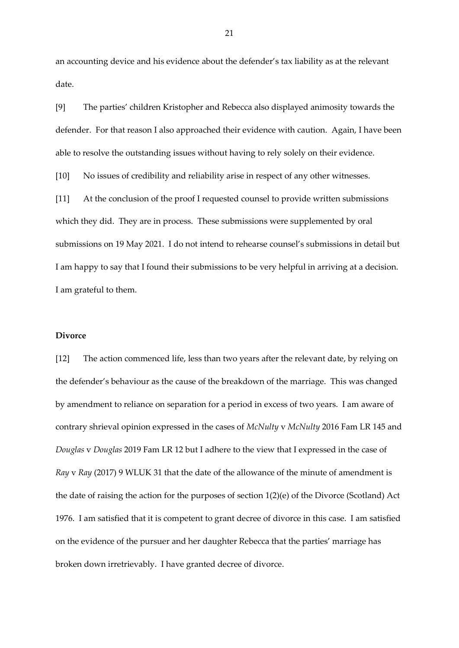an accounting device and his evidence about the defender's tax liability as at the relevant date.

[9] The parties' children Kristopher and Rebecca also displayed animosity towards the defender. For that reason I also approached their evidence with caution. Again, I have been able to resolve the outstanding issues without having to rely solely on their evidence.

[10] No issues of credibility and reliability arise in respect of any other witnesses.

[11] At the conclusion of the proof I requested counsel to provide written submissions which they did. They are in process. These submissions were supplemented by oral submissions on 19 May 2021. I do not intend to rehearse counsel's submissions in detail but I am happy to say that I found their submissions to be very helpful in arriving at a decision. I am grateful to them.

### **Divorce**

[12] The action commenced life, less than two years after the relevant date, by relying on the defender's behaviour as the cause of the breakdown of the marriage. This was changed by amendment to reliance on separation for a period in excess of two years. I am aware of contrary shrieval opinion expressed in the cases of *McNulty* v *McNulty* 2016 Fam LR 145 and *Douglas* v *Douglas* 2019 Fam LR 12 but I adhere to the view that I expressed in the case of *Ray* v *Ray* (2017) 9 WLUK 31 that the date of the allowance of the minute of amendment is the date of raising the action for the purposes of section 1(2)(e) of the Divorce (Scotland) Act 1976. I am satisfied that it is competent to grant decree of divorce in this case. I am satisfied on the evidence of the pursuer and her daughter Rebecca that the parties' marriage has broken down irretrievably. I have granted decree of divorce.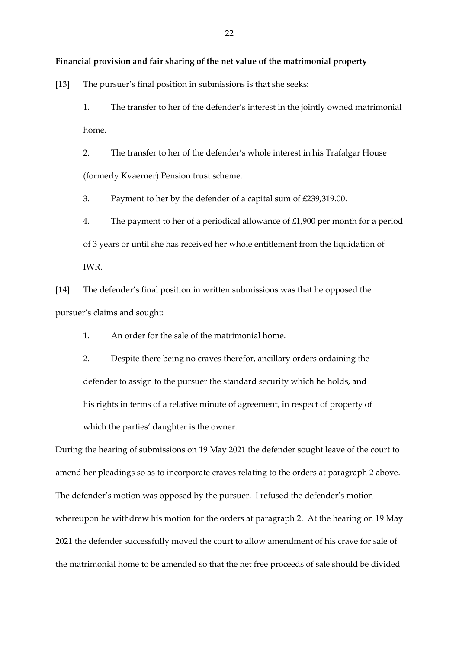### **Financial provision and fair sharing of the net value of the matrimonial property**

[13] The pursuer's final position in submissions is that she seeks:

1. The transfer to her of the defender's interest in the jointly owned matrimonial home.

2. The transfer to her of the defender's whole interest in his Trafalgar House (formerly Kvaerner) Pension trust scheme.

3. Payment to her by the defender of a capital sum of £239,319.00.

4. The payment to her of a periodical allowance of £1,900 per month for a period of 3 years or until she has received her whole entitlement from the liquidation of IWR.

[14] The defender's final position in written submissions was that he opposed the pursuer's claims and sought:

1. An order for the sale of the matrimonial home.

2. Despite there being no craves therefor, ancillary orders ordaining the defender to assign to the pursuer the standard security which he holds, and his rights in terms of a relative minute of agreement, in respect of property of which the parties' daughter is the owner.

During the hearing of submissions on 19 May 2021 the defender sought leave of the court to amend her pleadings so as to incorporate craves relating to the orders at paragraph 2 above. The defender's motion was opposed by the pursuer. I refused the defender's motion whereupon he withdrew his motion for the orders at paragraph 2. At the hearing on 19 May 2021 the defender successfully moved the court to allow amendment of his crave for sale of the matrimonial home to be amended so that the net free proceeds of sale should be divided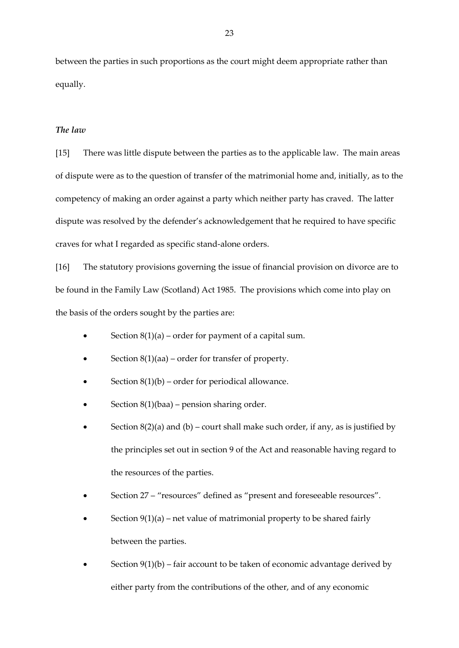between the parties in such proportions as the court might deem appropriate rather than equally.

### *The law*

[15] There was little dispute between the parties as to the applicable law. The main areas of dispute were as to the question of transfer of the matrimonial home and, initially, as to the competency of making an order against a party which neither party has craved. The latter dispute was resolved by the defender's acknowledgement that he required to have specific craves for what I regarded as specific stand-alone orders.

[16] The statutory provisions governing the issue of financial provision on divorce are to be found in the Family Law (Scotland) Act 1985. The provisions which come into play on the basis of the orders sought by the parties are:

- Section  $8(1)(a)$  order for payment of a capital sum.
- Section 8(1)(aa) order for transfer of property.
- Section  $8(1)(b)$  order for periodical allowance.
- Section 8(1)(baa) pension sharing order.
- Section  $8(2)(a)$  and  $(b)$  court shall make such order, if any, as is justified by the principles set out in section 9 of the Act and reasonable having regard to the resources of the parties.
- Section 27 "resources" defined as "present and foreseeable resources".
- Section  $9(1)(a)$  net value of matrimonial property to be shared fairly between the parties.
- Section  $9(1)(b)$  fair account to be taken of economic advantage derived by either party from the contributions of the other, and of any economic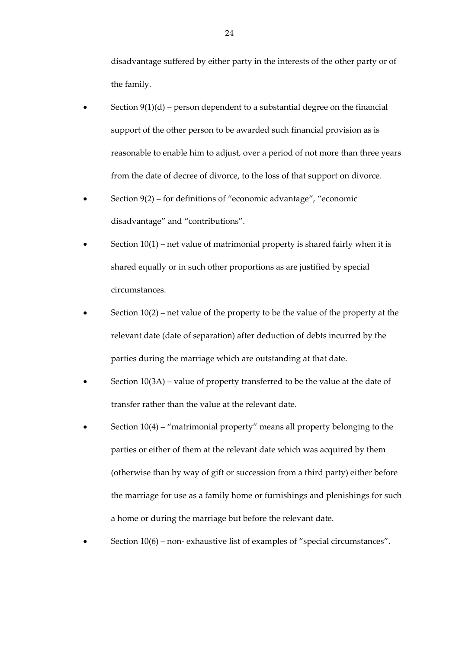disadvantage suffered by either party in the interests of the other party or of the family.

- Section  $9(1)(d)$  person dependent to a substantial degree on the financial support of the other person to be awarded such financial provision as is reasonable to enable him to adjust, over a period of not more than three years from the date of decree of divorce, to the loss of that support on divorce.
- Section 9(2) for definitions of "economic advantage", "economic disadvantage" and "contributions".
- Section 10(1) net value of matrimonial property is shared fairly when it is shared equally or in such other proportions as are justified by special circumstances.
- Section 10(2) net value of the property to be the value of the property at the relevant date (date of separation) after deduction of debts incurred by the parties during the marriage which are outstanding at that date.
- Section 10(3A) value of property transferred to be the value at the date of transfer rather than the value at the relevant date.
- Section 10(4) "matrimonial property" means all property belonging to the parties or either of them at the relevant date which was acquired by them (otherwise than by way of gift or succession from a third party) either before the marriage for use as a family home or furnishings and plenishings for such a home or during the marriage but before the relevant date.
- Section 10(6) non- exhaustive list of examples of "special circumstances".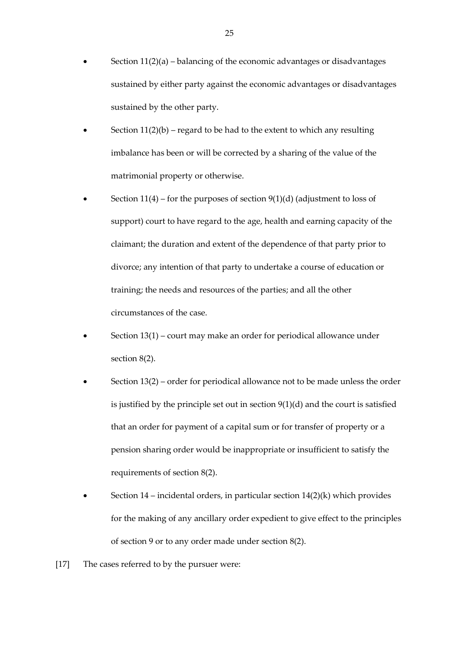- Section 11(2)(a) balancing of the economic advantages or disadvantages sustained by either party against the economic advantages or disadvantages sustained by the other party.
- Section  $11(2)(b)$  regard to be had to the extent to which any resulting imbalance has been or will be corrected by a sharing of the value of the matrimonial property or otherwise.
- Section  $11(4)$  for the purposes of section  $9(1)(d)$  (adjustment to loss of support) court to have regard to the age, health and earning capacity of the claimant; the duration and extent of the dependence of that party prior to divorce; any intention of that party to undertake a course of education or training; the needs and resources of the parties; and all the other circumstances of the case.
- Section 13(1) court may make an order for periodical allowance under section 8(2).
- Section 13(2) order for periodical allowance not to be made unless the order is justified by the principle set out in section 9(1)(d) and the court is satisfied that an order for payment of a capital sum or for transfer of property or a pension sharing order would be inappropriate or insufficient to satisfy the requirements of section 8(2).
- Section 14 incidental orders, in particular section 14(2)(k) which provides for the making of any ancillary order expedient to give effect to the principles of section 9 or to any order made under section 8(2).
- [17] The cases referred to by the pursuer were: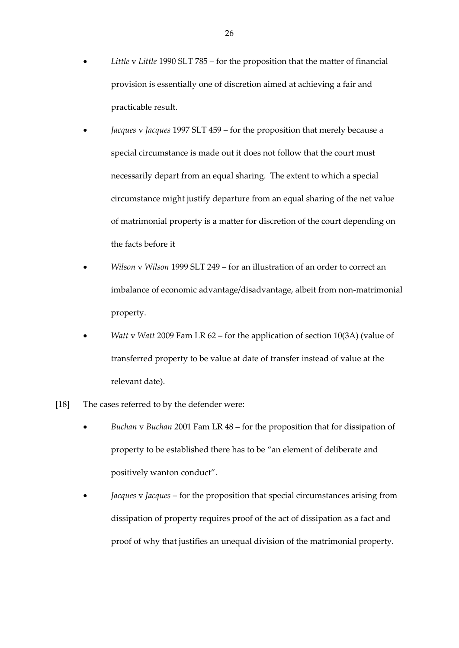- *Little* v *Little* 1990 SLT 785 for the proposition that the matter of financial provision is essentially one of discretion aimed at achieving a fair and practicable result.
- *Jacques* v *Jacques* 1997 SLT 459 for the proposition that merely because a special circumstance is made out it does not follow that the court must necessarily depart from an equal sharing. The extent to which a special circumstance might justify departure from an equal sharing of the net value of matrimonial property is a matter for discretion of the court depending on the facts before it
- *Wilson* v *Wilson* 1999 SLT 249 for an illustration of an order to correct an imbalance of economic advantage/disadvantage, albeit from non-matrimonial property.
- *Watt* v *Watt* 2009 Fam LR 62 for the application of section 10(3A) (value of transferred property to be value at date of transfer instead of value at the relevant date).
- [18] The cases referred to by the defender were:
	- *Buchan* v *Buchan* 2001 Fam LR 48 for the proposition that for dissipation of property to be established there has to be "an element of deliberate and positively wanton conduct".
	- *Jacques* v *Jacques* for the proposition that special circumstances arising from dissipation of property requires proof of the act of dissipation as a fact and proof of why that justifies an unequal division of the matrimonial property.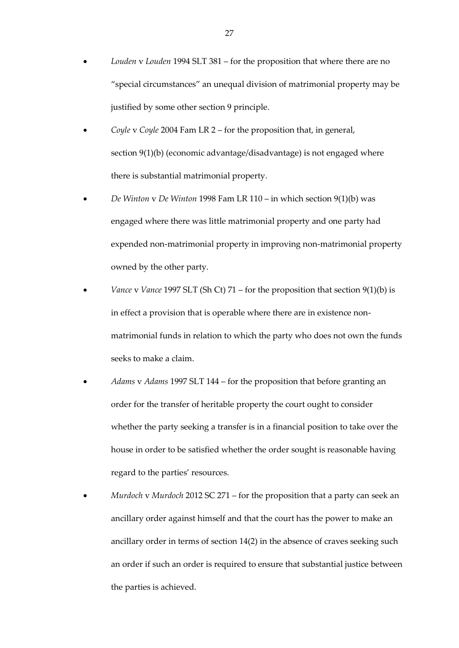- *Louden* v *Louden* 1994 SLT 381 for the proposition that where there are no "special circumstances" an unequal division of matrimonial property may be justified by some other section 9 principle.
- *Coyle* v *Coyle* 2004 Fam LR 2 for the proposition that, in general, section 9(1)(b) (economic advantage/disadvantage) is not engaged where there is substantial matrimonial property.
- *De Winton* v *De Winton* 1998 Fam LR 110 in which section 9(1)(b) was engaged where there was little matrimonial property and one party had expended non-matrimonial property in improving non-matrimonial property owned by the other party.
- *Vance* v *Vance* 1997 SLT (Sh Ct) 71 for the proposition that section 9(1)(b) is in effect a provision that is operable where there are in existence nonmatrimonial funds in relation to which the party who does not own the funds seeks to make a claim.
- *Adams* v *Adams* 1997 SLT 144 for the proposition that before granting an order for the transfer of heritable property the court ought to consider whether the party seeking a transfer is in a financial position to take over the house in order to be satisfied whether the order sought is reasonable having regard to the parties' resources.
- *Murdoch* v *Murdoch* 2012 SC 271 for the proposition that a party can seek an ancillary order against himself and that the court has the power to make an ancillary order in terms of section 14(2) in the absence of craves seeking such an order if such an order is required to ensure that substantial justice between the parties is achieved.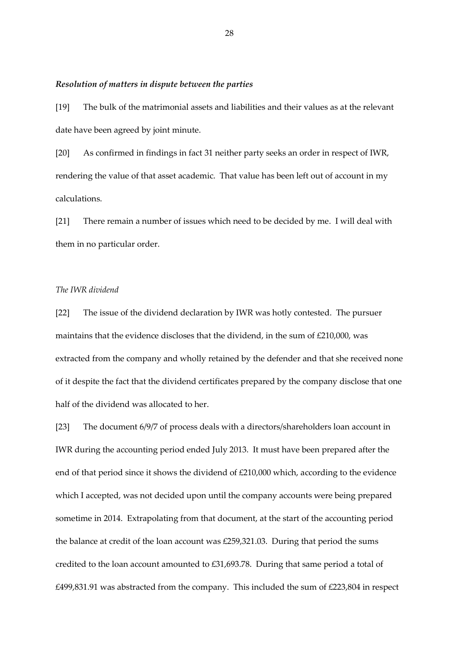#### *Resolution of matters in dispute between the parties*

[19] The bulk of the matrimonial assets and liabilities and their values as at the relevant date have been agreed by joint minute.

[20] As confirmed in findings in fact 31 neither party seeks an order in respect of IWR, rendering the value of that asset academic. That value has been left out of account in my calculations.

[21] There remain a number of issues which need to be decided by me. I will deal with them in no particular order.

## *The IWR dividend*

[22] The issue of the dividend declaration by IWR was hotly contested. The pursuer maintains that the evidence discloses that the dividend, in the sum of £210,000, was extracted from the company and wholly retained by the defender and that she received none of it despite the fact that the dividend certificates prepared by the company disclose that one half of the dividend was allocated to her.

[23] The document 6/9/7 of process deals with a directors/shareholders loan account in IWR during the accounting period ended July 2013. It must have been prepared after the end of that period since it shows the dividend of £210,000 which, according to the evidence which I accepted, was not decided upon until the company accounts were being prepared sometime in 2014. Extrapolating from that document, at the start of the accounting period the balance at credit of the loan account was £259,321.03. During that period the sums credited to the loan account amounted to £31,693.78. During that same period a total of £499,831.91 was abstracted from the company. This included the sum of £223,804 in respect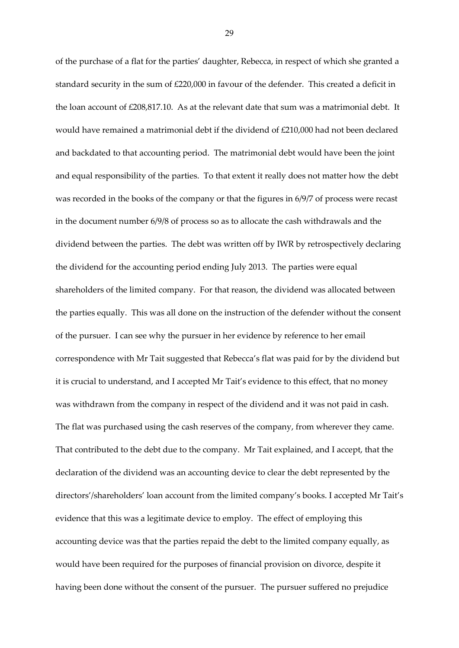of the purchase of a flat for the parties' daughter, Rebecca, in respect of which she granted a standard security in the sum of £220,000 in favour of the defender. This created a deficit in the loan account of £208,817.10. As at the relevant date that sum was a matrimonial debt. It would have remained a matrimonial debt if the dividend of £210,000 had not been declared and backdated to that accounting period. The matrimonial debt would have been the joint and equal responsibility of the parties. To that extent it really does not matter how the debt was recorded in the books of the company or that the figures in 6/9/7 of process were recast in the document number 6/9/8 of process so as to allocate the cash withdrawals and the dividend between the parties. The debt was written off by IWR by retrospectively declaring the dividend for the accounting period ending July 2013. The parties were equal shareholders of the limited company. For that reason, the dividend was allocated between the parties equally. This was all done on the instruction of the defender without the consent of the pursuer. I can see why the pursuer in her evidence by reference to her email correspondence with Mr Tait suggested that Rebecca's flat was paid for by the dividend but it is crucial to understand, and I accepted Mr Tait's evidence to this effect, that no money was withdrawn from the company in respect of the dividend and it was not paid in cash. The flat was purchased using the cash reserves of the company, from wherever they came. That contributed to the debt due to the company. Mr Tait explained, and I accept, that the declaration of the dividend was an accounting device to clear the debt represented by the directors'/shareholders' loan account from the limited company's books. I accepted Mr Tait's evidence that this was a legitimate device to employ. The effect of employing this accounting device was that the parties repaid the debt to the limited company equally, as would have been required for the purposes of financial provision on divorce, despite it having been done without the consent of the pursuer. The pursuer suffered no prejudice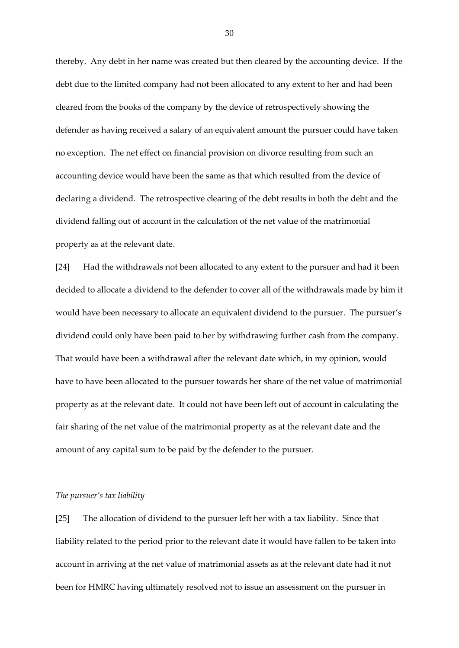thereby. Any debt in her name was created but then cleared by the accounting device. If the debt due to the limited company had not been allocated to any extent to her and had been cleared from the books of the company by the device of retrospectively showing the defender as having received a salary of an equivalent amount the pursuer could have taken no exception. The net effect on financial provision on divorce resulting from such an accounting device would have been the same as that which resulted from the device of declaring a dividend. The retrospective clearing of the debt results in both the debt and the dividend falling out of account in the calculation of the net value of the matrimonial property as at the relevant date.

[24] Had the withdrawals not been allocated to any extent to the pursuer and had it been decided to allocate a dividend to the defender to cover all of the withdrawals made by him it would have been necessary to allocate an equivalent dividend to the pursuer. The pursuer's dividend could only have been paid to her by withdrawing further cash from the company. That would have been a withdrawal after the relevant date which, in my opinion, would have to have been allocated to the pursuer towards her share of the net value of matrimonial property as at the relevant date. It could not have been left out of account in calculating the fair sharing of the net value of the matrimonial property as at the relevant date and the amount of any capital sum to be paid by the defender to the pursuer.

#### *The pursuer's tax liability*

[25] The allocation of dividend to the pursuer left her with a tax liability. Since that liability related to the period prior to the relevant date it would have fallen to be taken into account in arriving at the net value of matrimonial assets as at the relevant date had it not been for HMRC having ultimately resolved not to issue an assessment on the pursuer in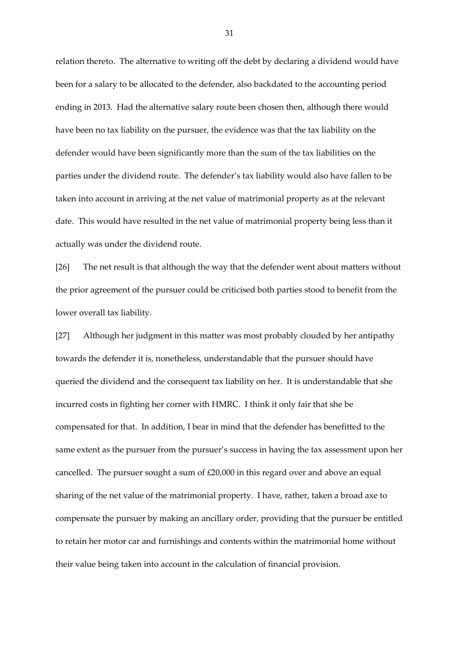relation thereto. The alternative to writing off the debt by declaring a dividend would have been for a salary to be allocated to the defender, also backdated to the accounting period ending in 2013. Had the alternative salary route been chosen then, although there would have been no tax liability on the pursuer, the evidence was that the tax liability on the defender would have been significantly more than the sum of the tax liabilities on the parties under the dividend route. The defender's tax liability would also have fallen to be taken into account in arriving at the net value of matrimonial property as at the relevant date. This would have resulted in the net value of matrimonial property being less than it actually was under the dividend route.

[26] The net result is that although the way that the defender went about matters without the prior agreement of the pursuer could be criticised both parties stood to benefit from the lower overall tax liability.

[27] Although her judgment in this matter was most probably clouded by her antipathy towards the defender it is, nonetheless, understandable that the pursuer should have queried the dividend and the consequent tax liability on her. It is understandable that she incurred costs in fighting her corner with HMRC. I think it only fair that she be compensated for that. In addition, I bear in mind that the defender has benefitted to the same extent as the pursuer from the pursuer's success in having the tax assessment upon her cancelled. The pursuer sought a sum of £20,000 in this regard over and above an equal sharing of the net value of the matrimonial property. I have, rather, taken a broad axe to compensate the pursuer by making an ancillary order, providing that the pursuer be entitled to retain her motor car and furnishings and contents within the matrimonial home without their value being taken into account in the calculation of financial provision.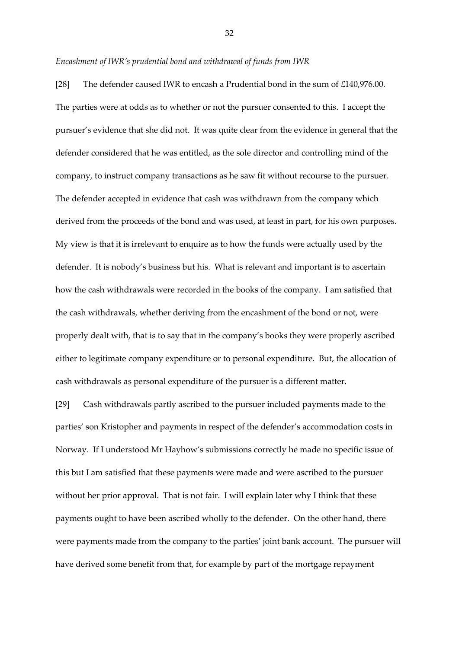#### *Encashment of IWR's prudential bond and withdrawal of funds from IWR*

[28] The defender caused IWR to encash a Prudential bond in the sum of £140,976.00. The parties were at odds as to whether or not the pursuer consented to this. I accept the pursuer's evidence that she did not. It was quite clear from the evidence in general that the defender considered that he was entitled, as the sole director and controlling mind of the company, to instruct company transactions as he saw fit without recourse to the pursuer. The defender accepted in evidence that cash was withdrawn from the company which derived from the proceeds of the bond and was used, at least in part, for his own purposes. My view is that it is irrelevant to enquire as to how the funds were actually used by the defender. It is nobody's business but his. What is relevant and important is to ascertain how the cash withdrawals were recorded in the books of the company. I am satisfied that the cash withdrawals, whether deriving from the encashment of the bond or not, were properly dealt with, that is to say that in the company's books they were properly ascribed either to legitimate company expenditure or to personal expenditure. But, the allocation of cash withdrawals as personal expenditure of the pursuer is a different matter.

[29] Cash withdrawals partly ascribed to the pursuer included payments made to the parties' son Kristopher and payments in respect of the defender's accommodation costs in Norway. If I understood Mr Hayhow's submissions correctly he made no specific issue of this but I am satisfied that these payments were made and were ascribed to the pursuer without her prior approval. That is not fair. I will explain later why I think that these payments ought to have been ascribed wholly to the defender. On the other hand, there were payments made from the company to the parties' joint bank account. The pursuer will have derived some benefit from that, for example by part of the mortgage repayment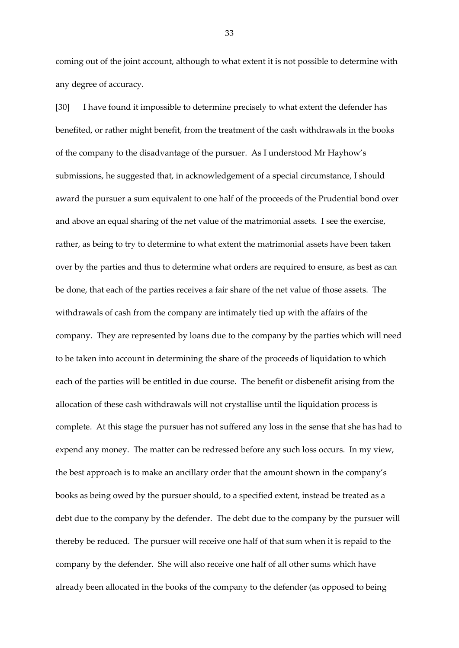coming out of the joint account, although to what extent it is not possible to determine with any degree of accuracy.

[30] I have found it impossible to determine precisely to what extent the defender has benefited, or rather might benefit, from the treatment of the cash withdrawals in the books of the company to the disadvantage of the pursuer. As I understood Mr Hayhow's submissions, he suggested that, in acknowledgement of a special circumstance, I should award the pursuer a sum equivalent to one half of the proceeds of the Prudential bond over and above an equal sharing of the net value of the matrimonial assets. I see the exercise, rather, as being to try to determine to what extent the matrimonial assets have been taken over by the parties and thus to determine what orders are required to ensure, as best as can be done, that each of the parties receives a fair share of the net value of those assets. The withdrawals of cash from the company are intimately tied up with the affairs of the company. They are represented by loans due to the company by the parties which will need to be taken into account in determining the share of the proceeds of liquidation to which each of the parties will be entitled in due course. The benefit or disbenefit arising from the allocation of these cash withdrawals will not crystallise until the liquidation process is complete. At this stage the pursuer has not suffered any loss in the sense that she has had to expend any money. The matter can be redressed before any such loss occurs. In my view, the best approach is to make an ancillary order that the amount shown in the company's books as being owed by the pursuer should, to a specified extent, instead be treated as a debt due to the company by the defender. The debt due to the company by the pursuer will thereby be reduced. The pursuer will receive one half of that sum when it is repaid to the company by the defender. She will also receive one half of all other sums which have already been allocated in the books of the company to the defender (as opposed to being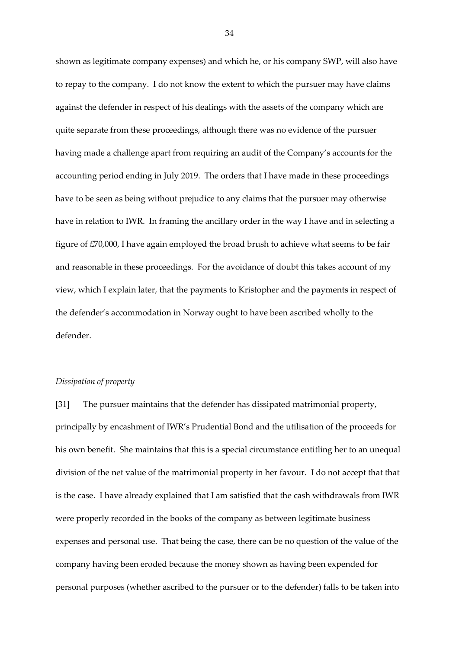shown as legitimate company expenses) and which he, or his company SWP, will also have to repay to the company. I do not know the extent to which the pursuer may have claims against the defender in respect of his dealings with the assets of the company which are quite separate from these proceedings, although there was no evidence of the pursuer having made a challenge apart from requiring an audit of the Company's accounts for the accounting period ending in July 2019. The orders that I have made in these proceedings have to be seen as being without prejudice to any claims that the pursuer may otherwise have in relation to IWR. In framing the ancillary order in the way I have and in selecting a figure of £70,000, I have again employed the broad brush to achieve what seems to be fair and reasonable in these proceedings. For the avoidance of doubt this takes account of my view, which I explain later, that the payments to Kristopher and the payments in respect of the defender's accommodation in Norway ought to have been ascribed wholly to the defender.

## *Dissipation of property*

[31] The pursuer maintains that the defender has dissipated matrimonial property, principally by encashment of IWR's Prudential Bond and the utilisation of the proceeds for his own benefit. She maintains that this is a special circumstance entitling her to an unequal division of the net value of the matrimonial property in her favour. I do not accept that that is the case. I have already explained that I am satisfied that the cash withdrawals from IWR were properly recorded in the books of the company as between legitimate business expenses and personal use. That being the case, there can be no question of the value of the company having been eroded because the money shown as having been expended for personal purposes (whether ascribed to the pursuer or to the defender) falls to be taken into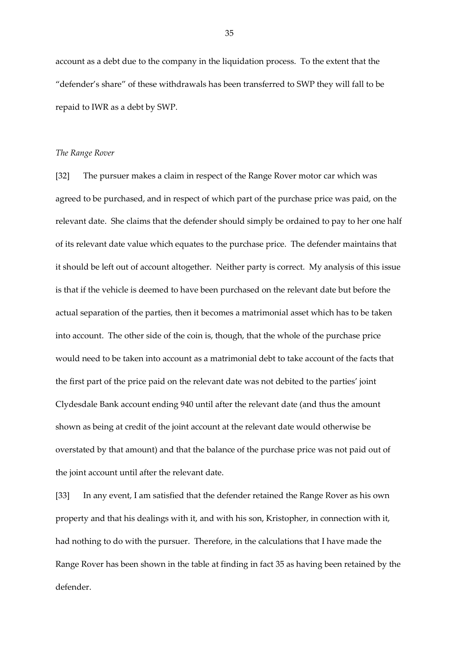account as a debt due to the company in the liquidation process. To the extent that the "defender's share" of these withdrawals has been transferred to SWP they will fall to be repaid to IWR as a debt by SWP.

#### *The Range Rover*

[32] The pursuer makes a claim in respect of the Range Rover motor car which was agreed to be purchased, and in respect of which part of the purchase price was paid, on the relevant date. She claims that the defender should simply be ordained to pay to her one half of its relevant date value which equates to the purchase price. The defender maintains that it should be left out of account altogether. Neither party is correct. My analysis of this issue is that if the vehicle is deemed to have been purchased on the relevant date but before the actual separation of the parties, then it becomes a matrimonial asset which has to be taken into account. The other side of the coin is, though, that the whole of the purchase price would need to be taken into account as a matrimonial debt to take account of the facts that the first part of the price paid on the relevant date was not debited to the parties' joint Clydesdale Bank account ending 940 until after the relevant date (and thus the amount shown as being at credit of the joint account at the relevant date would otherwise be overstated by that amount) and that the balance of the purchase price was not paid out of the joint account until after the relevant date.

[33] In any event, I am satisfied that the defender retained the Range Rover as his own property and that his dealings with it, and with his son, Kristopher, in connection with it, had nothing to do with the pursuer. Therefore, in the calculations that I have made the Range Rover has been shown in the table at finding in fact 35 as having been retained by the defender.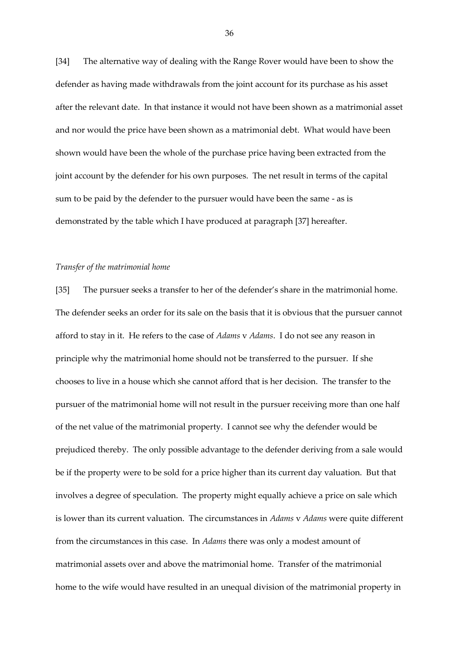[34] The alternative way of dealing with the Range Rover would have been to show the defender as having made withdrawals from the joint account for its purchase as his asset after the relevant date. In that instance it would not have been shown as a matrimonial asset and nor would the price have been shown as a matrimonial debt. What would have been shown would have been the whole of the purchase price having been extracted from the joint account by the defender for his own purposes. The net result in terms of the capital sum to be paid by the defender to the pursuer would have been the same - as is demonstrated by the table which I have produced at paragraph [37] hereafter.

#### *Transfer of the matrimonial home*

[35] The pursuer seeks a transfer to her of the defender's share in the matrimonial home. The defender seeks an order for its sale on the basis that it is obvious that the pursuer cannot afford to stay in it. He refers to the case of *Adams* v *Adams*. I do not see any reason in principle why the matrimonial home should not be transferred to the pursuer. If she chooses to live in a house which she cannot afford that is her decision. The transfer to the pursuer of the matrimonial home will not result in the pursuer receiving more than one half of the net value of the matrimonial property. I cannot see why the defender would be prejudiced thereby. The only possible advantage to the defender deriving from a sale would be if the property were to be sold for a price higher than its current day valuation. But that involves a degree of speculation. The property might equally achieve a price on sale which is lower than its current valuation. The circumstances in *Adams* v *Adams* were quite different from the circumstances in this case. In *Adams* there was only a modest amount of matrimonial assets over and above the matrimonial home. Transfer of the matrimonial home to the wife would have resulted in an unequal division of the matrimonial property in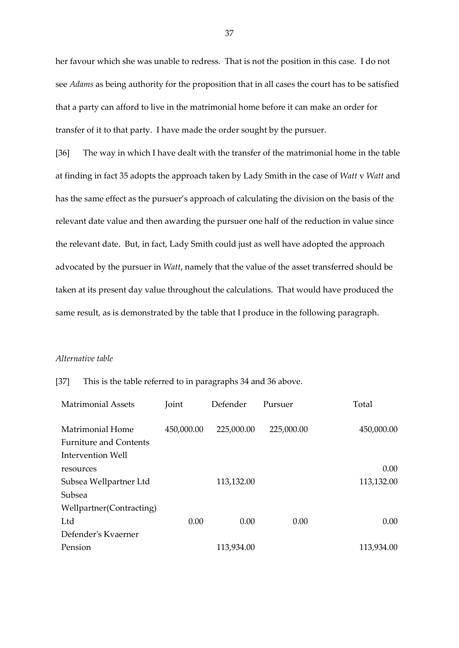her favour which she was unable to redress. That is not the position in this case. I do not see *Adams* as being authority for the proposition that in all cases the court has to be satisfied that a party can afford to live in the matrimonial home before it can make an order for transfer of it to that party. I have made the order sought by the pursuer.

[36] The way in which I have dealt with the transfer of the matrimonial home in the table at finding in fact 35 adopts the approach taken by Lady Smith in the case of *Watt* v *Watt* and has the same effect as the pursuer's approach of calculating the division on the basis of the relevant date value and then awarding the pursuer one half of the reduction in value since the relevant date. But, in fact, Lady Smith could just as well have adopted the approach advocated by the pursuer in *Watt*, namely that the value of the asset transferred should be taken at its present day value throughout the calculations. That would have produced the same result, as is demonstrated by the table that I produce in the following paragraph.

## *Alternative table*

### [37] This is the table referred to in paragraphs 34 and 36 above.

| <b>Matrimonial Assets</b>                         | Joint      | Defender   | Pursuer    | Total      |
|---------------------------------------------------|------------|------------|------------|------------|
| Matrimonial Home<br><b>Furniture and Contents</b> | 450,000.00 | 225,000.00 | 225,000.00 | 450,000.00 |
| Intervention Well                                 |            |            |            |            |
| resources                                         |            |            |            | 0.00       |
| Subsea Wellpartner Ltd                            |            | 113,132.00 |            | 113,132.00 |
| Subsea                                            |            |            |            |            |
| Wellpartner(Contracting)                          |            |            |            |            |
| Ltd                                               | 0.00       | 0.00       | 0.00       | 0.00       |
| Defender's Kvaerner                               |            |            |            |            |
| Pension                                           |            | 113,934.00 |            | 113,934.00 |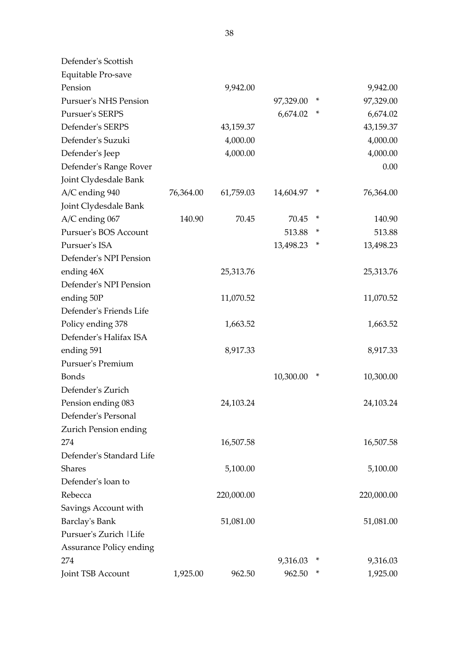Defender's Scottish

| Equitable Pro-save             |           |            |           |   |            |
|--------------------------------|-----------|------------|-----------|---|------------|
| Pension                        |           | 9,942.00   |           |   | 9,942.00   |
| <b>Pursuer's NHS Pension</b>   |           |            | 97,329.00 | * | 97,329.00  |
| <b>Pursuer's SERPS</b>         |           |            | 6,674.02  | * | 6,674.02   |
| Defender's SERPS               |           | 43,159.37  |           |   | 43,159.37  |
| Defender's Suzuki              |           | 4,000.00   |           |   | 4,000.00   |
| Defender's Jeep                |           | 4,000.00   |           |   | 4,000.00   |
| Defender's Range Rover         |           |            |           |   | 0.00       |
| Joint Clydesdale Bank          |           |            |           |   |            |
| A/C ending 940                 | 76,364.00 | 61,759.03  | 14,604.97 | * | 76,364.00  |
| Joint Clydesdale Bank          |           |            |           |   |            |
| A/C ending 067                 | 140.90    | 70.45      | 70.45     | * | 140.90     |
| <b>Pursuer's BOS Account</b>   |           |            | 513.88    | * | 513.88     |
| Pursuer's ISA                  |           |            | 13,498.23 | * | 13,498.23  |
| Defender's NPI Pension         |           |            |           |   |            |
| ending 46X                     |           | 25,313.76  |           |   | 25,313.76  |
| Defender's NPI Pension         |           |            |           |   |            |
| ending 50P                     |           | 11,070.52  |           |   | 11,070.52  |
| Defender's Friends Life        |           |            |           |   |            |
| Policy ending 378              |           | 1,663.52   |           |   | 1,663.52   |
| Defender's Halifax ISA         |           |            |           |   |            |
| ending 591                     |           | 8,917.33   |           |   | 8,917.33   |
| <b>Pursuer's Premium</b>       |           |            |           |   |            |
| <b>Bonds</b>                   |           |            | 10,300.00 | * | 10,300.00  |
| Defender's Zurich              |           |            |           |   |            |
| Pension ending 083             |           | 24,103.24  |           |   | 24,103.24  |
| Defender's Personal            |           |            |           |   |            |
| Zurich Pension ending          |           |            |           |   |            |
| 274                            |           | 16,507.58  |           |   | 16,507.58  |
| Defender's Standard Life       |           |            |           |   |            |
| <b>Shares</b>                  |           | 5,100.00   |           |   | 5,100.00   |
| Defender's loan to             |           |            |           |   |            |
| Rebecca                        |           | 220,000.00 |           |   | 220,000.00 |
| Savings Account with           |           |            |           |   |            |
| Barclay's Bank                 |           | 51,081.00  |           |   | 51,081.00  |
| Pursuer's Zurich   Life        |           |            |           |   |            |
| <b>Assurance Policy ending</b> |           |            |           |   |            |
| 274                            |           |            | 9,316.03  | * | 9,316.03   |
| Joint TSB Account              | 1,925.00  | 962.50     | 962.50    | * | 1,925.00   |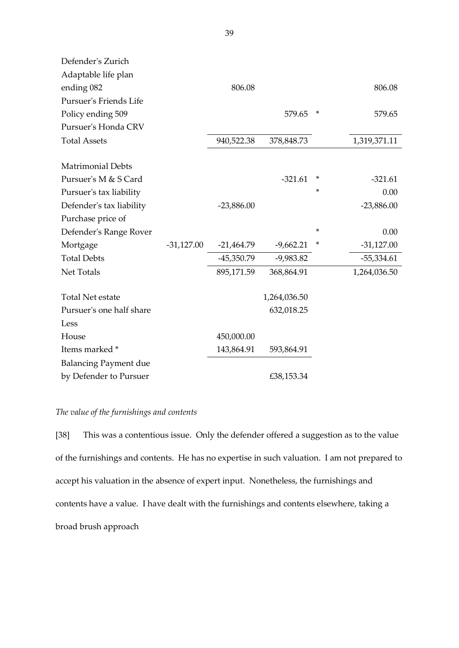| Adaptable life plan          |              |              |              |   |              |
|------------------------------|--------------|--------------|--------------|---|--------------|
| ending 082                   |              | 806.08       |              |   | 806.08       |
| Pursuer's Friends Life       |              |              |              |   |              |
| Policy ending 509            |              |              | 579.65       | * | 579.65       |
| Pursuer's Honda CRV          |              |              |              |   |              |
| <b>Total Assets</b>          |              | 940,522.38   | 378,848.73   |   | 1,319,371.11 |
|                              |              |              |              |   |              |
| <b>Matrimonial Debts</b>     |              |              |              |   |              |
| Pursuer's M & S Card         |              |              | $-321.61$    | * | $-321.61$    |
| Pursuer's tax liability      |              |              |              | * | 0.00         |
| Defender's tax liability     |              | $-23,886.00$ |              |   | $-23,886.00$ |
| Purchase price of            |              |              |              |   |              |
| Defender's Range Rover       |              |              |              | * | 0.00         |
| Mortgage                     | $-31,127.00$ | $-21,464.79$ | $-9,662.21$  | * | $-31,127.00$ |
| <b>Total Debts</b>           |              | $-45,350.79$ | $-9,983.82$  |   | $-55,334.61$ |
| Net Totals                   |              | 895,171.59   | 368,864.91   |   | 1,264,036.50 |
|                              |              |              |              |   |              |
| <b>Total Net estate</b>      |              |              | 1,264,036.50 |   |              |
| Pursuer's one half share     |              |              | 632,018.25   |   |              |
| Less                         |              |              |              |   |              |
| House                        |              | 450,000.00   |              |   |              |
| Items marked *               |              | 143,864.91   | 593,864.91   |   |              |
| <b>Balancing Payment due</b> |              |              |              |   |              |
| by Defender to Pursuer       |              |              | £38,153.34   |   |              |

# *The value of the furnishings and contents*

[38] This was a contentious issue. Only the defender offered a suggestion as to the value of the furnishings and contents. He has no expertise in such valuation. I am not prepared to accept his valuation in the absence of expert input. Nonetheless, the furnishings and contents have a value. I have dealt with the furnishings and contents elsewhere, taking a broad brush approach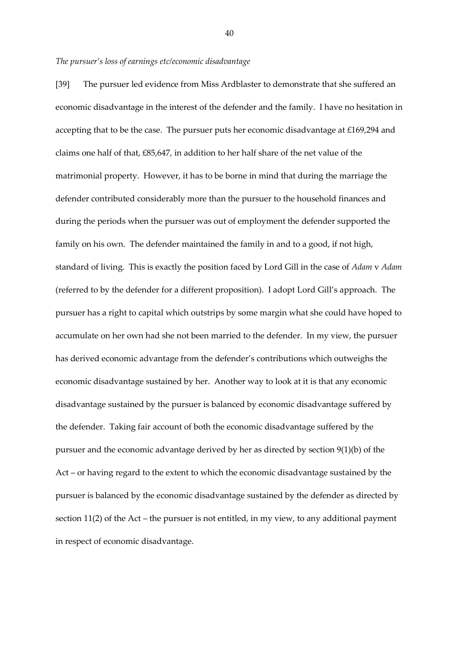#### *The pursuer's loss of earnings etc/economic disadvantage*

[39] The pursuer led evidence from Miss Ardblaster to demonstrate that she suffered an economic disadvantage in the interest of the defender and the family. I have no hesitation in accepting that to be the case. The pursuer puts her economic disadvantage at £169,294 and claims one half of that, £85,647, in addition to her half share of the net value of the matrimonial property. However, it has to be borne in mind that during the marriage the defender contributed considerably more than the pursuer to the household finances and during the periods when the pursuer was out of employment the defender supported the family on his own. The defender maintained the family in and to a good, if not high, standard of living. This is exactly the position faced by Lord Gill in the case of *Adam* v *Adam*  (referred to by the defender for a different proposition). I adopt Lord Gill's approach. The pursuer has a right to capital which outstrips by some margin what she could have hoped to accumulate on her own had she not been married to the defender. In my view, the pursuer has derived economic advantage from the defender's contributions which outweighs the economic disadvantage sustained by her. Another way to look at it is that any economic disadvantage sustained by the pursuer is balanced by economic disadvantage suffered by the defender. Taking fair account of both the economic disadvantage suffered by the pursuer and the economic advantage derived by her as directed by section 9(1)(b) of the Act – or having regard to the extent to which the economic disadvantage sustained by the pursuer is balanced by the economic disadvantage sustained by the defender as directed by section 11(2) of the Act – the pursuer is not entitled, in my view, to any additional payment in respect of economic disadvantage.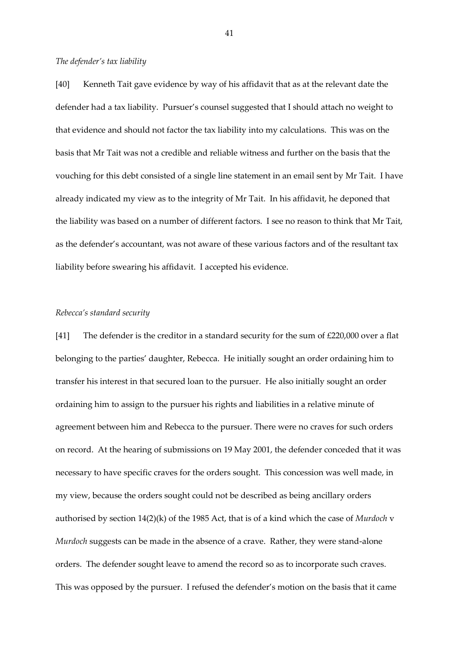#### *The defender's tax liability*

[40] Kenneth Tait gave evidence by way of his affidavit that as at the relevant date the defender had a tax liability. Pursuer's counsel suggested that I should attach no weight to that evidence and should not factor the tax liability into my calculations. This was on the basis that Mr Tait was not a credible and reliable witness and further on the basis that the vouching for this debt consisted of a single line statement in an email sent by Mr Tait. I have already indicated my view as to the integrity of Mr Tait. In his affidavit, he deponed that the liability was based on a number of different factors. I see no reason to think that Mr Tait, as the defender's accountant, was not aware of these various factors and of the resultant tax liability before swearing his affidavit. I accepted his evidence.

#### *Rebecca's standard security*

[41] The defender is the creditor in a standard security for the sum of £220,000 over a flat belonging to the parties' daughter, Rebecca. He initially sought an order ordaining him to transfer his interest in that secured loan to the pursuer. He also initially sought an order ordaining him to assign to the pursuer his rights and liabilities in a relative minute of agreement between him and Rebecca to the pursuer. There were no craves for such orders on record. At the hearing of submissions on 19 May 2001, the defender conceded that it was necessary to have specific craves for the orders sought. This concession was well made, in my view, because the orders sought could not be described as being ancillary orders authorised by section 14(2)(k) of the 1985 Act, that is of a kind which the case of *Murdoch* v *Murdoch* suggests can be made in the absence of a crave. Rather, they were stand-alone orders. The defender sought leave to amend the record so as to incorporate such craves. This was opposed by the pursuer. I refused the defender's motion on the basis that it came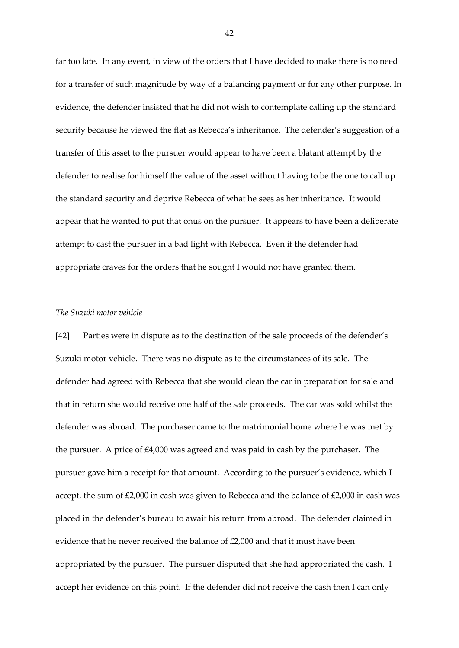far too late. In any event, in view of the orders that I have decided to make there is no need for a transfer of such magnitude by way of a balancing payment or for any other purpose. In evidence, the defender insisted that he did not wish to contemplate calling up the standard security because he viewed the flat as Rebecca's inheritance. The defender's suggestion of a transfer of this asset to the pursuer would appear to have been a blatant attempt by the defender to realise for himself the value of the asset without having to be the one to call up the standard security and deprive Rebecca of what he sees as her inheritance. It would appear that he wanted to put that onus on the pursuer. It appears to have been a deliberate attempt to cast the pursuer in a bad light with Rebecca. Even if the defender had appropriate craves for the orders that he sought I would not have granted them.

## *The Suzuki motor vehicle*

[42] Parties were in dispute as to the destination of the sale proceeds of the defender's Suzuki motor vehicle. There was no dispute as to the circumstances of its sale. The defender had agreed with Rebecca that she would clean the car in preparation for sale and that in return she would receive one half of the sale proceeds. The car was sold whilst the defender was abroad. The purchaser came to the matrimonial home where he was met by the pursuer. A price of £4,000 was agreed and was paid in cash by the purchaser. The pursuer gave him a receipt for that amount. According to the pursuer's evidence, which I accept, the sum of £2,000 in cash was given to Rebecca and the balance of £2,000 in cash was placed in the defender's bureau to await his return from abroad. The defender claimed in evidence that he never received the balance of £2,000 and that it must have been appropriated by the pursuer. The pursuer disputed that she had appropriated the cash. I accept her evidence on this point. If the defender did not receive the cash then I can only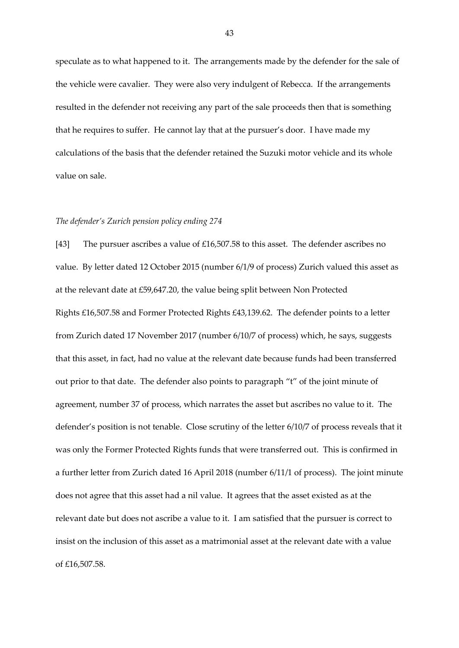speculate as to what happened to it. The arrangements made by the defender for the sale of the vehicle were cavalier. They were also very indulgent of Rebecca. If the arrangements resulted in the defender not receiving any part of the sale proceeds then that is something that he requires to suffer. He cannot lay that at the pursuer's door. I have made my calculations of the basis that the defender retained the Suzuki motor vehicle and its whole value on sale.

#### *The defender's Zurich pension policy ending 274*

[43] The pursuer ascribes a value of £16,507.58 to this asset. The defender ascribes no value. By letter dated 12 October 2015 (number 6/1/9 of process) Zurich valued this asset as at the relevant date at £59,647.20, the value being split between Non Protected Rights £16,507.58 and Former Protected Rights £43,139.62. The defender points to a letter from Zurich dated 17 November 2017 (number 6/10/7 of process) which, he says, suggests that this asset, in fact, had no value at the relevant date because funds had been transferred out prior to that date. The defender also points to paragraph "t" of the joint minute of agreement, number 37 of process, which narrates the asset but ascribes no value to it. The defender's position is not tenable. Close scrutiny of the letter 6/10/7 of process reveals that it was only the Former Protected Rights funds that were transferred out. This is confirmed in a further letter from Zurich dated 16 April 2018 (number 6/11/1 of process). The joint minute does not agree that this asset had a nil value. It agrees that the asset existed as at the relevant date but does not ascribe a value to it. I am satisfied that the pursuer is correct to insist on the inclusion of this asset as a matrimonial asset at the relevant date with a value of £16,507.58.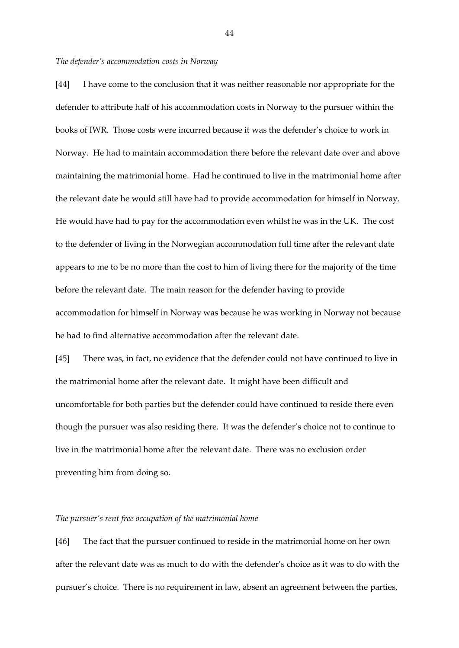#### *The defender's accommodation costs in Norway*

[44] I have come to the conclusion that it was neither reasonable nor appropriate for the defender to attribute half of his accommodation costs in Norway to the pursuer within the books of IWR. Those costs were incurred because it was the defender's choice to work in Norway. He had to maintain accommodation there before the relevant date over and above maintaining the matrimonial home. Had he continued to live in the matrimonial home after the relevant date he would still have had to provide accommodation for himself in Norway. He would have had to pay for the accommodation even whilst he was in the UK. The cost to the defender of living in the Norwegian accommodation full time after the relevant date appears to me to be no more than the cost to him of living there for the majority of the time before the relevant date. The main reason for the defender having to provide accommodation for himself in Norway was because he was working in Norway not because he had to find alternative accommodation after the relevant date.

[45] There was, in fact, no evidence that the defender could not have continued to live in the matrimonial home after the relevant date. It might have been difficult and uncomfortable for both parties but the defender could have continued to reside there even though the pursuer was also residing there. It was the defender's choice not to continue to live in the matrimonial home after the relevant date. There was no exclusion order preventing him from doing so.

## *The pursuer's rent free occupation of the matrimonial home*

[46] The fact that the pursuer continued to reside in the matrimonial home on her own after the relevant date was as much to do with the defender's choice as it was to do with the pursuer's choice. There is no requirement in law, absent an agreement between the parties,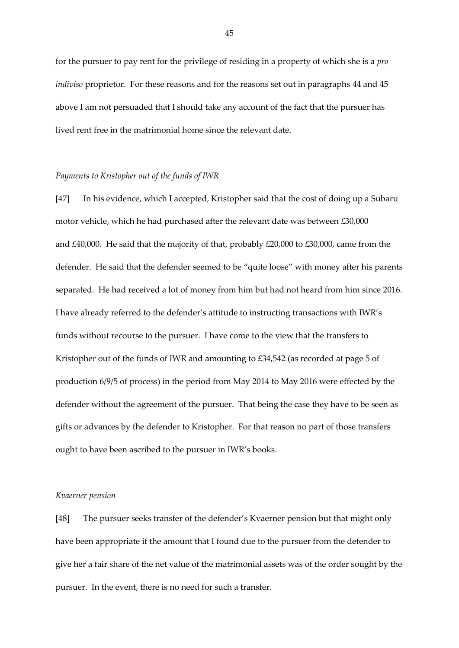for the pursuer to pay rent for the privilege of residing in a property of which she is a *pro indiviso* proprietor. For these reasons and for the reasons set out in paragraphs 44 and 45 above I am not persuaded that I should take any account of the fact that the pursuer has lived rent free in the matrimonial home since the relevant date.

#### *Payments to Kristopher out of the funds of IWR*

[47] In his evidence, which I accepted, Kristopher said that the cost of doing up a Subaru motor vehicle, which he had purchased after the relevant date was between £30,000 and £40,000. He said that the majority of that, probably £20,000 to £30,000, came from the defender. He said that the defender seemed to be "quite loose" with money after his parents separated. He had received a lot of money from him but had not heard from him since 2016. I have already referred to the defender's attitude to instructing transactions with IWR's funds without recourse to the pursuer. I have come to the view that the transfers to Kristopher out of the funds of IWR and amounting to £34,542 (as recorded at page 5 of production 6/9/5 of process) in the period from May 2014 to May 2016 were effected by the defender without the agreement of the pursuer. That being the case they have to be seen as gifts or advances by the defender to Kristopher. For that reason no part of those transfers ought to have been ascribed to the pursuer in IWR's books.

#### *Kvaerner pension*

[48] The pursuer seeks transfer of the defender's Kvaerner pension but that might only have been appropriate if the amount that I found due to the pursuer from the defender to give her a fair share of the net value of the matrimonial assets was of the order sought by the pursuer. In the event, there is no need for such a transfer.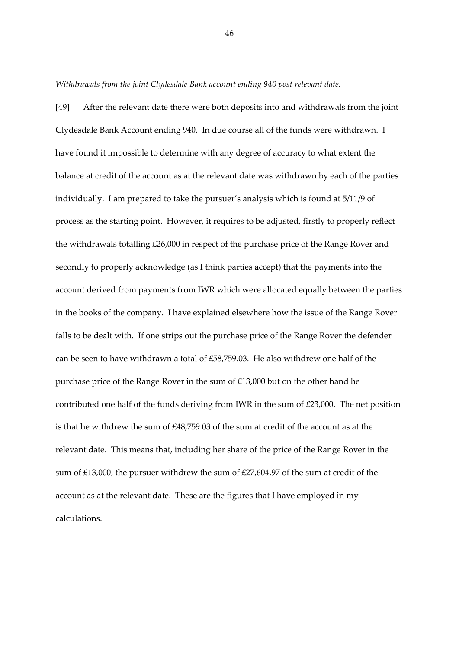*Withdrawals from the joint Clydesdale Bank account ending 940 post relevant date.*

[49] After the relevant date there were both deposits into and withdrawals from the joint Clydesdale Bank Account ending 940. In due course all of the funds were withdrawn. I have found it impossible to determine with any degree of accuracy to what extent the balance at credit of the account as at the relevant date was withdrawn by each of the parties individually. I am prepared to take the pursuer's analysis which is found at 5/11/9 of process as the starting point. However, it requires to be adjusted, firstly to properly reflect the withdrawals totalling £26,000 in respect of the purchase price of the Range Rover and secondly to properly acknowledge (as I think parties accept) that the payments into the account derived from payments from IWR which were allocated equally between the parties in the books of the company. I have explained elsewhere how the issue of the Range Rover falls to be dealt with. If one strips out the purchase price of the Range Rover the defender can be seen to have withdrawn a total of  $£58,759.03$ . He also withdrew one half of the purchase price of the Range Rover in the sum of £13,000 but on the other hand he contributed one half of the funds deriving from IWR in the sum of £23,000. The net position is that he withdrew the sum of £48,759.03 of the sum at credit of the account as at the relevant date. This means that, including her share of the price of the Range Rover in the sum of £13,000, the pursuer withdrew the sum of £27,604.97 of the sum at credit of the account as at the relevant date. These are the figures that I have employed in my calculations.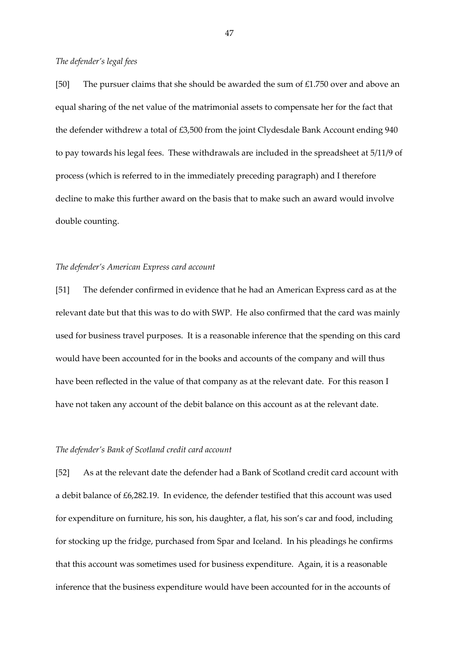### *The defender's legal fees*

[50] The pursuer claims that she should be awarded the sum of £1.750 over and above an equal sharing of the net value of the matrimonial assets to compensate her for the fact that the defender withdrew a total of £3,500 from the joint Clydesdale Bank Account ending 940 to pay towards his legal fees. These withdrawals are included in the spreadsheet at 5/11/9 of process (which is referred to in the immediately preceding paragraph) and I therefore decline to make this further award on the basis that to make such an award would involve double counting.

#### *The defender's American Express card account*

[51] The defender confirmed in evidence that he had an American Express card as at the relevant date but that this was to do with SWP. He also confirmed that the card was mainly used for business travel purposes. It is a reasonable inference that the spending on this card would have been accounted for in the books and accounts of the company and will thus have been reflected in the value of that company as at the relevant date. For this reason I have not taken any account of the debit balance on this account as at the relevant date.

## *The defender's Bank of Scotland credit card account*

[52] As at the relevant date the defender had a Bank of Scotland credit card account with a debit balance of £6,282.19. In evidence, the defender testified that this account was used for expenditure on furniture, his son, his daughter, a flat, his son's car and food, including for stocking up the fridge, purchased from Spar and Iceland. In his pleadings he confirms that this account was sometimes used for business expenditure. Again, it is a reasonable inference that the business expenditure would have been accounted for in the accounts of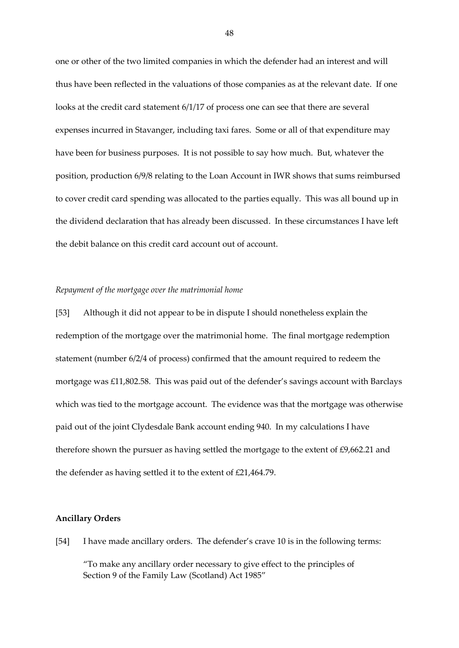one or other of the two limited companies in which the defender had an interest and will thus have been reflected in the valuations of those companies as at the relevant date. If one looks at the credit card statement 6/1/17 of process one can see that there are several expenses incurred in Stavanger, including taxi fares. Some or all of that expenditure may have been for business purposes. It is not possible to say how much. But, whatever the position, production 6/9/8 relating to the Loan Account in IWR shows that sums reimbursed to cover credit card spending was allocated to the parties equally. This was all bound up in the dividend declaration that has already been discussed. In these circumstances I have left the debit balance on this credit card account out of account.

## *Repayment of the mortgage over the matrimonial home*

[53] Although it did not appear to be in dispute I should nonetheless explain the redemption of the mortgage over the matrimonial home. The final mortgage redemption statement (number 6/2/4 of process) confirmed that the amount required to redeem the mortgage was £11,802.58. This was paid out of the defender's savings account with Barclays which was tied to the mortgage account. The evidence was that the mortgage was otherwise paid out of the joint Clydesdale Bank account ending 940. In my calculations I have therefore shown the pursuer as having settled the mortgage to the extent of £9,662.21 and the defender as having settled it to the extent of £21,464.79.

## **Ancillary Orders**

[54] I have made ancillary orders. The defender's crave 10 is in the following terms: "To make any ancillary order necessary to give effect to the principles of Section 9 of the Family Law (Scotland) Act 1985"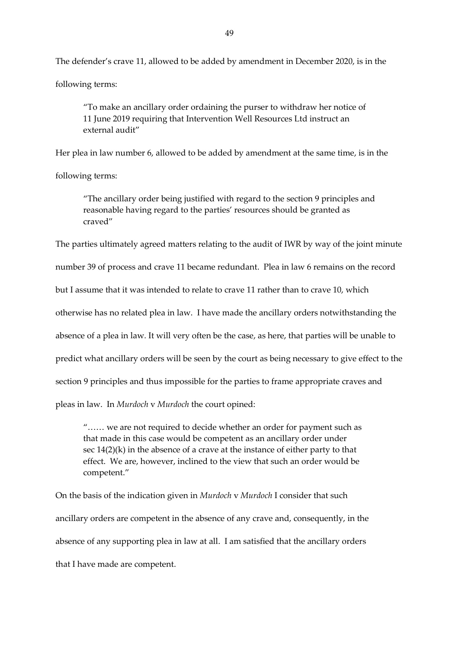The defender's crave 11, allowed to be added by amendment in December 2020, is in the

following terms:

"To make an ancillary order ordaining the purser to withdraw her notice of 11 June 2019 requiring that Intervention Well Resources Ltd instruct an external audit"

Her plea in law number 6, allowed to be added by amendment at the same time, is in the

following terms:

"The ancillary order being justified with regard to the section 9 principles and reasonable having regard to the parties' resources should be granted as craved"

The parties ultimately agreed matters relating to the audit of IWR by way of the joint minute number 39 of process and crave 11 became redundant. Plea in law 6 remains on the record but I assume that it was intended to relate to crave 11 rather than to crave 10, which otherwise has no related plea in law. I have made the ancillary orders notwithstanding the absence of a plea in law*.* It will very often be the case, as here, that parties will be unable to predict what ancillary orders will be seen by the court as being necessary to give effect to the

section 9 principles and thus impossible for the parties to frame appropriate craves and

pleas in law. In *Murdoch* v *Murdoch* the court opined:

"…… we are not required to decide whether an order for payment such as that made in this case would be competent as an ancillary order under sec 14(2)(k) in the absence of a crave at the instance of either party to that effect. We are, however, inclined to the view that such an order would be competent."

On the basis of the indication given in *Murdoch* v *Murdoch* I consider that such ancillary orders are competent in the absence of any crave and, consequently, in the absence of any supporting plea in law at all. I am satisfied that the ancillary orders that I have made are competent.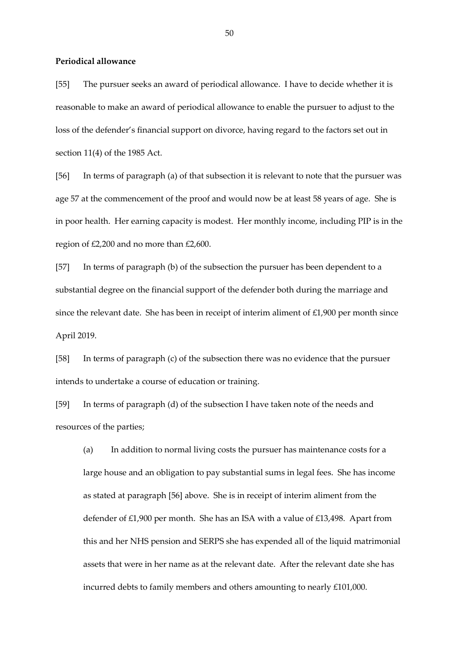## **Periodical allowance**

[55] The pursuer seeks an award of periodical allowance. I have to decide whether it is reasonable to make an award of periodical allowance to enable the pursuer to adjust to the loss of the defender's financial support on divorce, having regard to the factors set out in section 11(4) of the 1985 Act.

[56] In terms of paragraph (a) of that subsection it is relevant to note that the pursuer was age 57 at the commencement of the proof and would now be at least 58 years of age. She is in poor health. Her earning capacity is modest. Her monthly income, including PIP is in the region of £2,200 and no more than £2,600.

[57] In terms of paragraph (b) of the subsection the pursuer has been dependent to a substantial degree on the financial support of the defender both during the marriage and since the relevant date. She has been in receipt of interim aliment of £1,900 per month since April 2019.

[58] In terms of paragraph (c) of the subsection there was no evidence that the pursuer intends to undertake a course of education or training.

[59] In terms of paragraph (d) of the subsection I have taken note of the needs and resources of the parties;

(a) In addition to normal living costs the pursuer has maintenance costs for a large house and an obligation to pay substantial sums in legal fees. She has income as stated at paragraph [56] above. She is in receipt of interim aliment from the defender of £1,900 per month. She has an ISA with a value of £13,498. Apart from this and her NHS pension and SERPS she has expended all of the liquid matrimonial assets that were in her name as at the relevant date. After the relevant date she has incurred debts to family members and others amounting to nearly £101,000.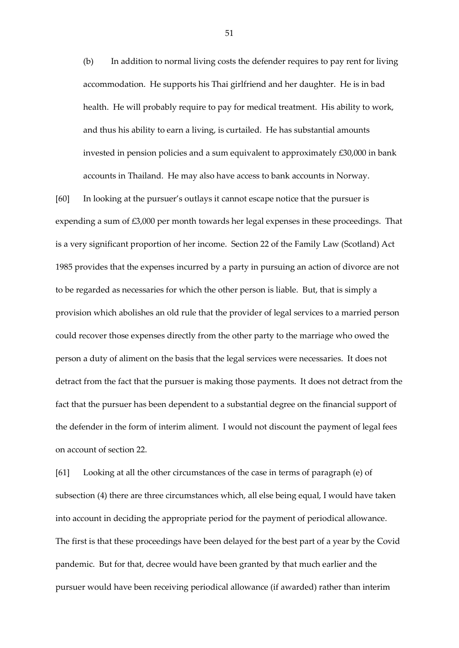(b) In addition to normal living costs the defender requires to pay rent for living accommodation. He supports his Thai girlfriend and her daughter. He is in bad health. He will probably require to pay for medical treatment. His ability to work, and thus his ability to earn a living, is curtailed. He has substantial amounts invested in pension policies and a sum equivalent to approximately £30,000 in bank accounts in Thailand. He may also have access to bank accounts in Norway.

[60] In looking at the pursuer's outlays it cannot escape notice that the pursuer is expending a sum of £3,000 per month towards her legal expenses in these proceedings. That is a very significant proportion of her income. Section 22 of the Family Law (Scotland) Act 1985 provides that the expenses incurred by a party in pursuing an action of divorce are not to be regarded as necessaries for which the other person is liable. But, that is simply a provision which abolishes an old rule that the provider of legal services to a married person could recover those expenses directly from the other party to the marriage who owed the person a duty of aliment on the basis that the legal services were necessaries. It does not detract from the fact that the pursuer is making those payments. It does not detract from the fact that the pursuer has been dependent to a substantial degree on the financial support of the defender in the form of interim aliment. I would not discount the payment of legal fees on account of section 22.

[61] Looking at all the other circumstances of the case in terms of paragraph (e) of subsection (4) there are three circumstances which, all else being equal, I would have taken into account in deciding the appropriate period for the payment of periodical allowance. The first is that these proceedings have been delayed for the best part of a year by the Covid pandemic. But for that, decree would have been granted by that much earlier and the pursuer would have been receiving periodical allowance (if awarded) rather than interim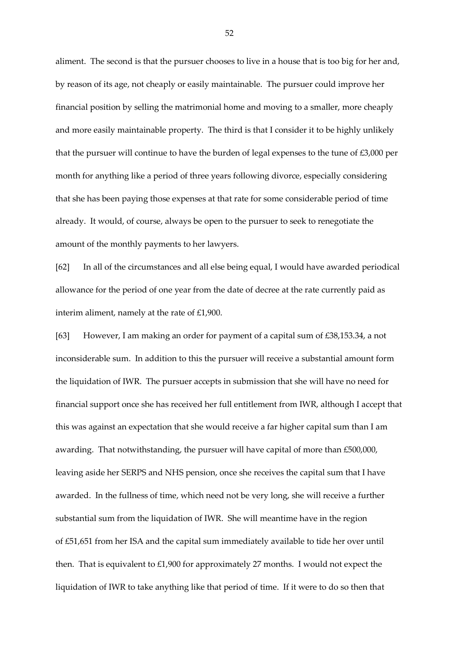aliment. The second is that the pursuer chooses to live in a house that is too big for her and, by reason of its age, not cheaply or easily maintainable. The pursuer could improve her financial position by selling the matrimonial home and moving to a smaller, more cheaply and more easily maintainable property. The third is that I consider it to be highly unlikely that the pursuer will continue to have the burden of legal expenses to the tune of  $\text{\textsterling}3,000$  per month for anything like a period of three years following divorce, especially considering that she has been paying those expenses at that rate for some considerable period of time already. It would, of course, always be open to the pursuer to seek to renegotiate the amount of the monthly payments to her lawyers.

[62] In all of the circumstances and all else being equal, I would have awarded periodical allowance for the period of one year from the date of decree at the rate currently paid as interim aliment, namely at the rate of £1,900.

[63] However, I am making an order for payment of a capital sum of £38,153.34, a not inconsiderable sum. In addition to this the pursuer will receive a substantial amount form the liquidation of IWR. The pursuer accepts in submission that she will have no need for financial support once she has received her full entitlement from IWR, although I accept that this was against an expectation that she would receive a far higher capital sum than I am awarding. That notwithstanding, the pursuer will have capital of more than £500,000, leaving aside her SERPS and NHS pension, once she receives the capital sum that I have awarded. In the fullness of time, which need not be very long, she will receive a further substantial sum from the liquidation of IWR. She will meantime have in the region of £51,651 from her ISA and the capital sum immediately available to tide her over until then. That is equivalent to £1,900 for approximately 27 months. I would not expect the liquidation of IWR to take anything like that period of time. If it were to do so then that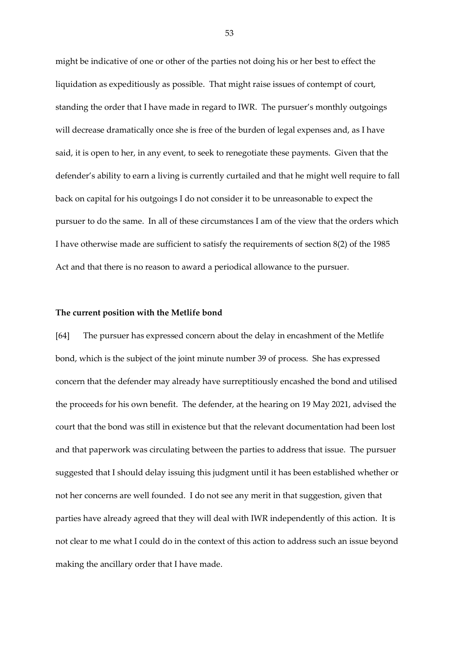might be indicative of one or other of the parties not doing his or her best to effect the liquidation as expeditiously as possible. That might raise issues of contempt of court, standing the order that I have made in regard to IWR. The pursuer's monthly outgoings will decrease dramatically once she is free of the burden of legal expenses and, as I have said, it is open to her, in any event, to seek to renegotiate these payments. Given that the defender's ability to earn a living is currently curtailed and that he might well require to fall back on capital for his outgoings I do not consider it to be unreasonable to expect the pursuer to do the same. In all of these circumstances I am of the view that the orders which I have otherwise made are sufficient to satisfy the requirements of section 8(2) of the 1985 Act and that there is no reason to award a periodical allowance to the pursuer.

#### **The current position with the Metlife bond**

[64] The pursuer has expressed concern about the delay in encashment of the Metlife bond, which is the subject of the joint minute number 39 of process. She has expressed concern that the defender may already have surreptitiously encashed the bond and utilised the proceeds for his own benefit. The defender, at the hearing on 19 May 2021, advised the court that the bond was still in existence but that the relevant documentation had been lost and that paperwork was circulating between the parties to address that issue. The pursuer suggested that I should delay issuing this judgment until it has been established whether or not her concerns are well founded. I do not see any merit in that suggestion, given that parties have already agreed that they will deal with IWR independently of this action. It is not clear to me what I could do in the context of this action to address such an issue beyond making the ancillary order that I have made.